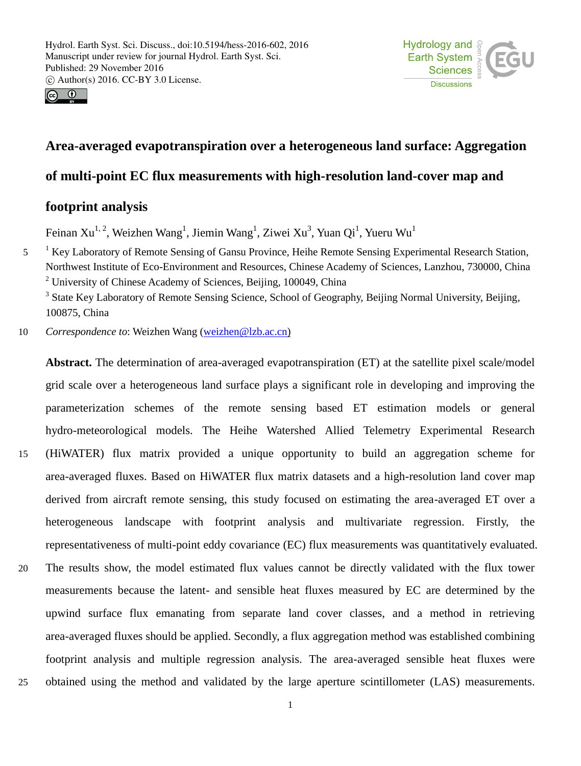



# **Area-averaged evapotranspiration over a heterogeneous land surface: Aggregation**

# **of multi-point EC flux measurements with high-resolution land-cover map and**

## **footprint analysis**

Feinan Xu<sup>1, 2</sup>, Weizhen Wang<sup>1</sup>, Jiemin Wang<sup>1</sup>, Ziwei Xu<sup>3</sup>, Yuan Qi<sup>1</sup>, Yueru Wu<sup>1</sup>

<sup>1</sup> Key Laboratory of Remote Sensing of Gansu Province, Heihe Remote Sensing Experimental Research Station, Northwest Institute of Eco-Environment and Resources, Chinese Academy of Sciences, Lanzhou, 730000, China <sup>2</sup> University of Chinese Academy of Sciences, Beijing, 100049, China

<sup>3</sup> State Key Laboratory of Remote Sensing Science, School of Geography, Beijing Normal University, Beijing, 100875, China

10 *Correspondence to*: Weizhen Wang (weizhen@lzb.ac.cn)

**Abstract.** The determination of area-averaged evapotranspiration (ET) at the satellite pixel scale/model grid scale over a heterogeneous land surface plays a significant role in developing and improving the parameterization schemes of the remote sensing based ET estimation models or general hydro-meteorological models. The Heihe Watershed Allied Telemetry Experimental Research 15 (HiWATER) flux matrix provided a unique opportunity to build an aggregation scheme for area-averaged fluxes. Based on HiWATER flux matrix datasets and a high-resolution land cover map derived from aircraft remote sensing, this study focused on estimating the area-averaged ET over a heterogeneous landscape with footprint analysis and multivariate regression. Firstly, the representativeness of multi-point eddy covariance (EC) flux measurements was quantitatively evaluated. 20 The results show, the model estimated flux values cannot be directly validated with the flux tower measurements because the latent- and sensible heat fluxes measured by EC are determined by the upwind surface flux emanating from separate land cover classes, and a method in retrieving area-averaged fluxes should be applied. Secondly, a flux aggregation method was established combining footprint analysis and multiple regression analysis. The area-averaged sensible heat fluxes were 25 obtained using the method and validated by the large aperture scintillometer (LAS) measurements.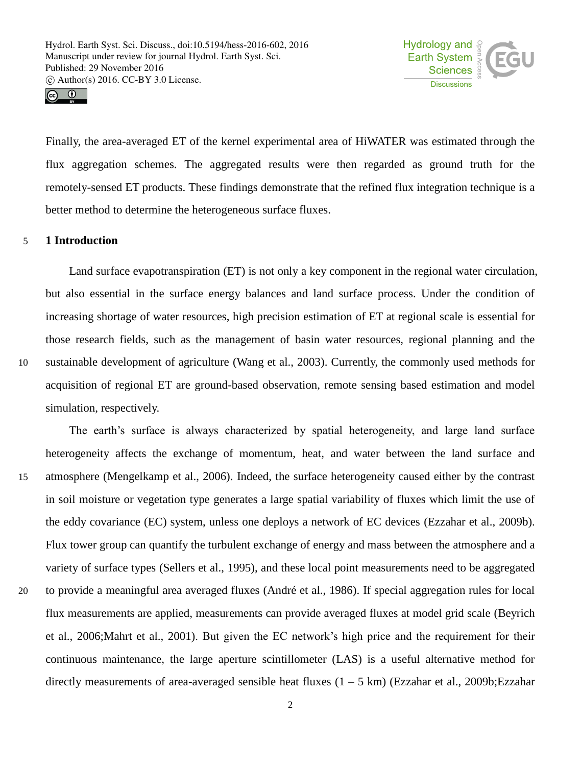



Finally, the area-averaged ET of the kernel experimental area of HiWATER was estimated through the flux aggregation schemes. The aggregated results were then regarded as ground truth for the remotely-sensed ET products. These findings demonstrate that the refined flux integration technique is a better method to determine the heterogeneous surface fluxes.

## 5 **1 Introduction**

Land surface evapotranspiration (ET) is not only a key component in the regional water circulation, but also essential in the surface energy balances and land surface process. Under the condition of increasing shortage of water resources, high precision estimation of ET at regional scale is essential for those research fields, such as the management of basin water resources, regional planning and the 10 sustainable development of agriculture (Wang et al., 2003). Currently, the commonly used methods for acquisition of regional ET are ground-based observation, remote sensing based estimation and model simulation, respectively.

The earth's surface is always characterized by spatial heterogeneity, and large land surface heterogeneity affects the exchange of momentum, heat, and water between the land surface and 15 atmosphere (Mengelkamp et al., 2006). Indeed, the surface heterogeneity caused either by the contrast in soil moisture or vegetation type generates a large spatial variability of fluxes which limit the use of the eddy covariance (EC) system, unless one deploys a network of EC devices (Ezzahar et al., 2009b). Flux tower group can quantify the turbulent exchange of energy and mass between the atmosphere and a variety of surface types (Sellers et al., 1995), and these local point measurements need to be aggregated 20 to provide a meaningful area averaged fluxes (André et al., 1986). If special aggregation rules for local flux measurements are applied, measurements can provide averaged fluxes at model grid scale (Beyrich et al., 2006;Mahrt et al., 2001). But given the EC network's high price and the requirement for their continuous maintenance, the large aperture scintillometer (LAS) is a useful alternative method for directly measurements of area-averaged sensible heat fluxes  $(1 - 5 \text{ km})$  (Ezzahar et al., 2009b; Ezzahar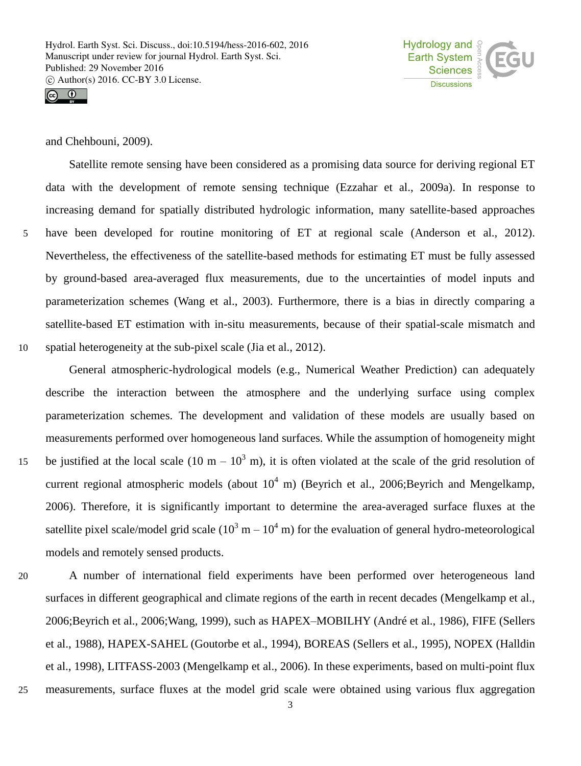



and Chehbouni, 2009).

Satellite remote sensing have been considered as a promising data source for deriving regional ET data with the development of remote sensing technique (Ezzahar et al., 2009a). In response to increasing demand for spatially distributed hydrologic information, many satellite-based approaches 5 have been developed for routine monitoring of ET at regional scale (Anderson et al., 2012). Nevertheless, the effectiveness of the satellite-based methods for estimating ET must be fully assessed by ground-based area-averaged flux measurements, due to the uncertainties of model inputs and parameterization schemes (Wang et al., 2003). Furthermore, there is a bias in directly comparing a satellite-based ET estimation with in-situ measurements, because of their spatial-scale mismatch and 10 spatial heterogeneity at the sub-pixel scale (Jia et al., 2012).

General atmospheric-hydrological models (e.g., Numerical Weather Prediction) can adequately describe the interaction between the atmosphere and the underlying surface using complex parameterization schemes. The development and validation of these models are usually based on measurements performed over homogeneous land surfaces. While the assumption of homogeneity might 15 be justified at the local scale (10 m –  $10^3$  m), it is often violated at the scale of the grid resolution of current regional atmospheric models (about  $10^4$  m) (Beyrich et al., 2006;Beyrich and Mengelkamp, 2006). Therefore, it is significantly important to determine the area-averaged surface fluxes at the satellite pixel scale/model grid scale ( $10^3$  m –  $10^4$  m) for the evaluation of general hydro-meteorological models and remotely sensed products.

20 A number of international field experiments have been performed over heterogeneous land surfaces in different geographical and climate regions of the earth in recent decades (Mengelkamp et al., 2006;Beyrich et al., 2006;Wang, 1999), such as HAPEX–MOBILHY (André et al., 1986), FIFE (Sellers et al., 1988), HAPEX-SAHEL (Goutorbe et al., 1994), BOREAS (Sellers et al., 1995), NOPEX (Halldin et al., 1998), LITFASS-2003 (Mengelkamp et al., 2006). In these experiments, based on multi-point flux 25 measurements, surface fluxes at the model grid scale were obtained using various flux aggregation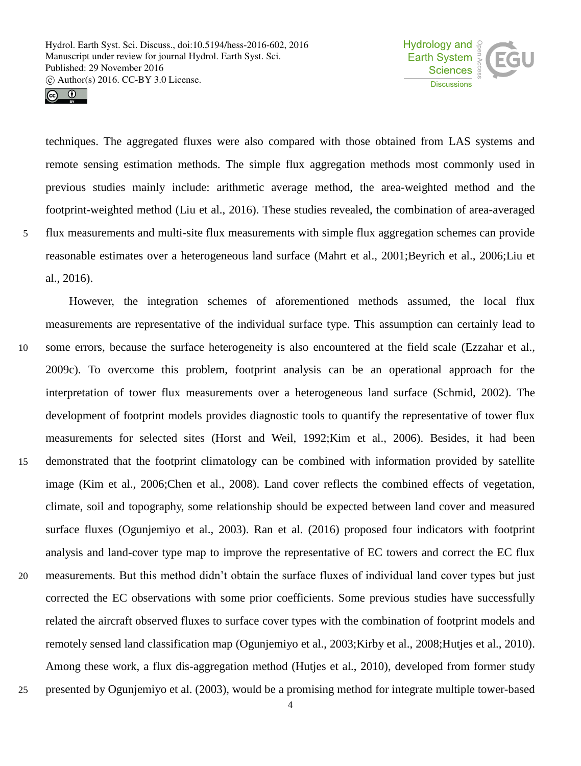



techniques. The aggregated fluxes were also compared with those obtained from LAS systems and remote sensing estimation methods. The simple flux aggregation methods most commonly used in previous studies mainly include: arithmetic average method, the area-weighted method and the footprint-weighted method (Liu et al., 2016). These studies revealed, the combination of area-averaged 5 flux measurements and multi-site flux measurements with simple flux aggregation schemes can provide reasonable estimates over a heterogeneous land surface (Mahrt et al., 2001;Beyrich et al., 2006;Liu et al., 2016).

However, the integration schemes of aforementioned methods assumed, the local flux measurements are representative of the individual surface type. This assumption can certainly lead to 10 some errors, because the surface heterogeneity is also encountered at the field scale (Ezzahar et al., 2009c). To overcome this problem, footprint analysis can be an operational approach for the interpretation of tower flux measurements over a heterogeneous land surface (Schmid, 2002). The development of footprint models provides diagnostic tools to quantify the representative of tower flux measurements for selected sites (Horst and Weil, 1992;Kim et al., 2006). Besides, it had been 15 demonstrated that the footprint climatology can be combined with information provided by satellite image (Kim et al., 2006;Chen et al., 2008). Land cover reflects the combined effects of vegetation, climate, soil and topography, some relationship should be expected between land cover and measured surface fluxes (Ogunjemiyo et al., 2003). Ran et al. (2016) proposed four indicators with footprint analysis and land-cover type map to improve the representative of EC towers and correct the EC flux 20 measurements. But this method didn't obtain the surface fluxes of individual land cover types but just corrected the EC observations with some prior coefficients. Some previous studies have successfully related the aircraft observed fluxes to surface cover types with the combination of footprint models and remotely sensed land classification map (Ogunjemiyo et al., 2003;Kirby et al., 2008;Hutjes et al., 2010). Among these work, a flux dis-aggregation method (Hutjes et al., 2010), developed from former study 25 presented by Ogunjemiyo et al. (2003), would be a promising method for integrate multiple tower-based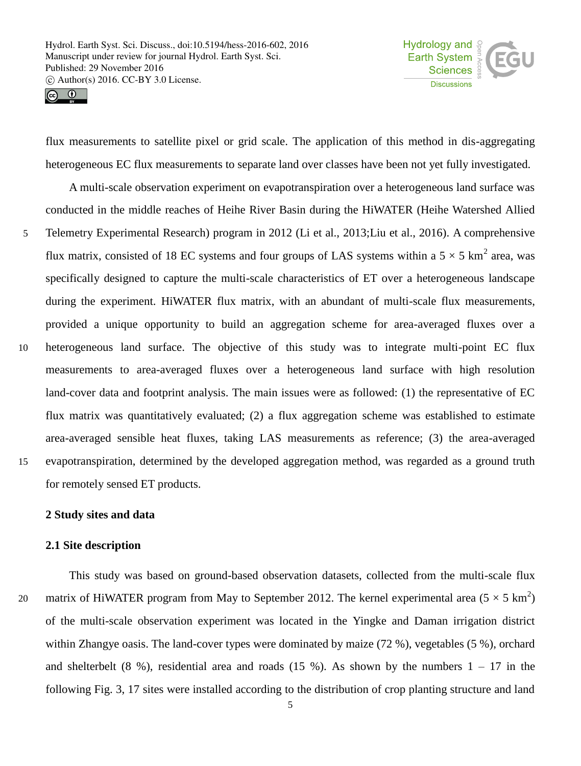

 $\circledcirc$ 

flux measurements to satellite pixel or grid scale. The application of this method in dis-aggregating heterogeneous EC flux measurements to separate land over classes have been not yet fully investigated.

A multi-scale observation experiment on evapotranspiration over a heterogeneous land surface was conducted in the middle reaches of Heihe River Basin during the HiWATER (Heihe Watershed Allied 5 Telemetry Experimental Research) program in 2012 (Li et al., 2013;Liu et al., 2016). A comprehensive flux matrix, consisted of 18 EC systems and four groups of LAS systems within a  $5 \times 5$  km<sup>2</sup> area, was specifically designed to capture the multi-scale characteristics of ET over a heterogeneous landscape during the experiment. HiWATER flux matrix, with an abundant of multi-scale flux measurements, provided a unique opportunity to build an aggregation scheme for area-averaged fluxes over a 10 heterogeneous land surface. The objective of this study was to integrate multi-point EC flux measurements to area-averaged fluxes over a heterogeneous land surface with high resolution land-cover data and footprint analysis. The main issues were as followed: (1) the representative of EC flux matrix was quantitatively evaluated; (2) a flux aggregation scheme was established to estimate area-averaged sensible heat fluxes, taking LAS measurements as reference; (3) the area-averaged 15 evapotranspiration, determined by the developed aggregation method, was regarded as a ground truth for remotely sensed ET products.

#### **2 Study sites and data**

## **2.1 Site description**

This study was based on ground-based observation datasets, collected from the multi-scale flux 20 matrix of HiWATER program from May to September 2012. The kernel experimental area  $(5 \times 5 \text{ km}^2)$ of the multi-scale observation experiment was located in the Yingke and Daman irrigation district within Zhangye oasis. The land-cover types were dominated by maize (72 %), vegetables (5 %), orchard and shelterbelt (8 %), residential area and roads (15 %). As shown by the numbers  $1 - 17$  in the following Fig. 3, 17 sites were installed according to the distribution of crop planting structure and land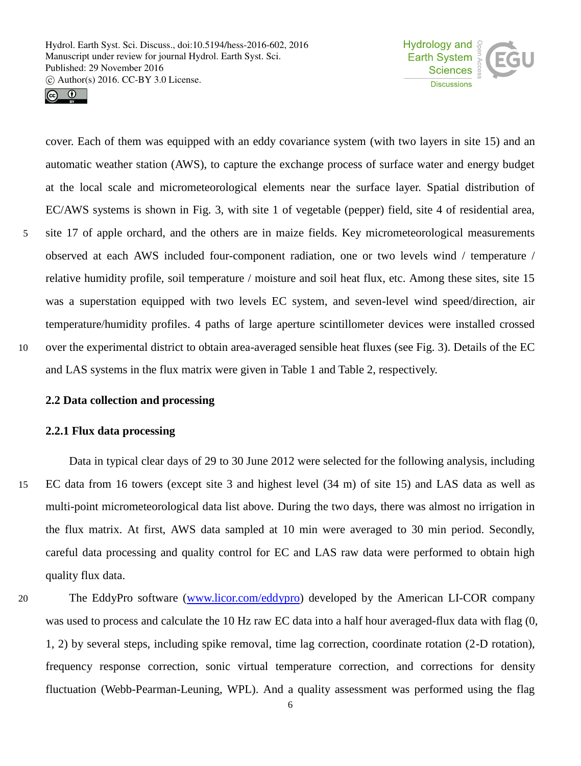



cover. Each of them was equipped with an eddy covariance system (with two layers in site 15) and an automatic weather station (AWS), to capture the exchange process of surface water and energy budget at the local scale and micrometeorological elements near the surface layer. Spatial distribution of EC/AWS systems is shown in Fig. 3, with site 1 of vegetable (pepper) field, site 4 of residential area, 5 site 17 of apple orchard, and the others are in maize fields. Key micrometeorological measurements observed at each AWS included four-component radiation, one or two levels wind / temperature / relative humidity profile, soil temperature / moisture and soil heat flux, etc. Among these sites, site 15 was a superstation equipped with two levels EC system, and seven-level wind speed/direction, air temperature/humidity profiles. 4 paths of large aperture scintillometer devices were installed crossed 10 over the experimental district to obtain area-averaged sensible heat fluxes (see Fig. 3). Details of the EC and LAS systems in the flux matrix were given in Table 1 and Table 2, respectively.

## **2.2 Data collection and processing**

### **2.2.1 Flux data processing**

Data in typical clear days of 29 to 30 June 2012 were selected for the following analysis, including 15 EC data from 16 towers (except site 3 and highest level (34 m) of site 15) and LAS data as well as multi-point micrometeorological data list above. During the two days, there was almost no irrigation in the flux matrix. At first, AWS data sampled at 10 min were averaged to 30 min period. Secondly, careful data processing and quality control for EC and LAS raw data were performed to obtain high quality flux data.

20 The EddyPro software (www.licor.com/eddypro) developed by the American LI-COR company was used to process and calculate the 10 Hz raw EC data into a half hour averaged-flux data with flag  $(0, 1)$ 1, 2) by several steps, including spike removal, time lag correction, coordinate rotation (2-D rotation), frequency response correction, sonic virtual temperature correction, and corrections for density fluctuation (Webb-Pearman-Leuning, WPL). And a quality assessment was performed using the flag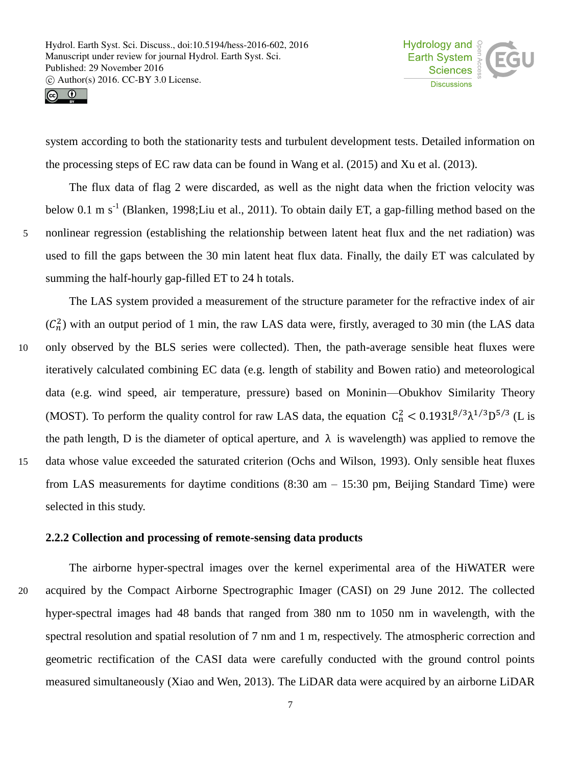

 $\odot$   $\odot$ 

system according to both the stationarity tests and turbulent development tests. Detailed information on the processing steps of EC raw data can be found in Wang et al. (2015) and Xu et al. (2013).

The flux data of flag 2 were discarded, as well as the night data when the friction velocity was below 0.1 m s<sup>-1</sup> (Blanken, 1998;Liu et al., 2011). To obtain daily ET, a gap-filling method based on the 5 nonlinear regression (establishing the relationship between latent heat flux and the net radiation) was used to fill the gaps between the 30 min latent heat flux data. Finally, the daily ET was calculated by summing the half-hourly gap-filled ET to 24 h totals.

The LAS system provided a measurement of the structure parameter for the refractive index of air  $(C_n^2)$  with an output period of 1 min, the raw LAS data were, firstly, averaged to 30 min (the LAS data 10 only observed by the BLS series were collected). Then, the path-average sensible heat fluxes were iteratively calculated combining EC data (e.g. length of stability and Bowen ratio) and meteorological data (e.g. wind speed, air temperature, pressure) based on Moninin—Obukhov Similarity Theory (MOST). To perform the quality control for raw LAS data, the equation  $C_n^2 < 0.193 L^{8/3} \lambda^{1/3} D^{5/3}$  (L is the path length, D is the diameter of optical aperture, and  $\lambda$  is wavelength) was applied to remove the 15 data whose value exceeded the saturated criterion (Ochs and Wilson, 1993). Only sensible heat fluxes from LAS measurements for daytime conditions (8:30 am – 15:30 pm, Beijing Standard Time) were selected in this study.

## **2.2.2 Collection and processing of remote-sensing data products**

The airborne hyper-spectral images over the kernel experimental area of the HiWATER were 20 acquired by the Compact Airborne Spectrographic Imager (CASI) on 29 June 2012. The collected hyper-spectral images had 48 bands that ranged from 380 nm to 1050 nm in wavelength, with the spectral resolution and spatial resolution of 7 nm and 1 m, respectively. The atmospheric correction and geometric rectification of the CASI data were carefully conducted with the ground control points measured simultaneously (Xiao and Wen, 2013). The LiDAR data were acquired by an airborne LiDAR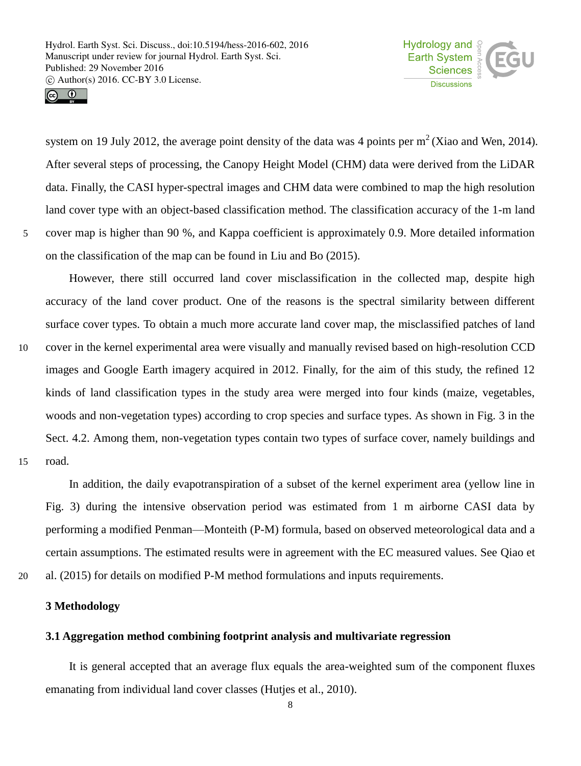

 $\odot$   $\odot$ 

system on 19 July 2012, the average point density of the data was 4 points per  $m<sup>2</sup>$  (Xiao and Wen, 2014). After several steps of processing, the Canopy Height Model (CHM) data were derived from the LiDAR data. Finally, the CASI hyper-spectral images and CHM data were combined to map the high resolution land cover type with an object-based classification method. The classification accuracy of the 1-m land 5 cover map is higher than 90 %, and Kappa coefficient is approximately 0.9. More detailed information on the classification of the map can be found in Liu and Bo (2015).

However, there still occurred land cover misclassification in the collected map, despite high accuracy of the land cover product. One of the reasons is the spectral similarity between different surface cover types. To obtain a much more accurate land cover map, the misclassified patches of land 10 cover in the kernel experimental area were visually and manually revised based on high-resolution CCD images and Google Earth imagery acquired in 2012. Finally, for the aim of this study, the refined 12 kinds of land classification types in the study area were merged into four kinds (maize, vegetables, woods and non-vegetation types) according to crop species and surface types. As shown in Fig. 3 in the Sect. 4.2. Among them, non-vegetation types contain two types of surface cover, namely buildings and 15 road.

In addition, the daily evapotranspiration of a subset of the kernel experiment area (yellow line in Fig. 3) during the intensive observation period was estimated from 1 m airborne CASI data by performing a modified Penman—Monteith (P-M) formula, based on observed meteorological data and a certain assumptions. The estimated results were in agreement with the EC measured values. See Qiao et 20 al. (2015) for details on modified P-M method formulations and inputs requirements.

## **3 Methodology**

## **3.1 Aggregation method combining footprint analysis and multivariate regression**

It is general accepted that an average flux equals the area-weighted sum of the component fluxes emanating from individual land cover classes (Hutjes et al., 2010).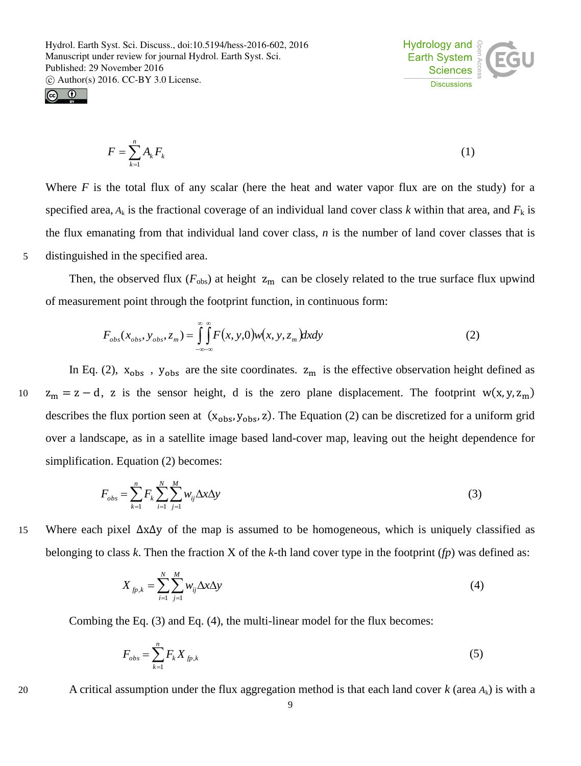



$$
F = \sum_{k=1}^{n} A_k F_k \tag{1}
$$

Where  $F$  is the total flux of any scalar (here the heat and water vapor flux are on the study) for a specified area,  $A_k$  is the fractional coverage of an individual land cover class *k* within that area, and  $F_k$  is the flux emanating from that individual land cover class, *n* is the number of land cover classes that is 5 distinguished in the specified area.

Then, the observed flux ( $F_{\text{obs}}$ ) at height  $z_{\text{m}}$  can be closely related to the true surface flux upwind of measurement point through the footprint function, in continuous form:

$$
F_{obs}(x_{obs}, y_{obs}, z_m) = \int_{-\infty-\infty}^{\infty} \int_{-\infty}^{\infty} F(x, y, 0) w(x, y, z_m) dx dy
$$
 (2)

In Eq. (2),  $x_{obs}$ ,  $y_{obs}$  are the site coordinates.  $z_m$  is the effective observation height defined as 10  $z_m = z - d$ , z is the sensor height, d is the zero plane displacement. The footprint w(x, y, z<sub>m</sub>) describes the flux portion seen at  $(x_{obs}, y_{obs}, z)$ . The Equation (2) can be discretized for a uniform grid over a landscape, as in a satellite image based land-cover map, leaving out the height dependence for simplification. Equation (2) becomes:

$$
F_{obs} = \sum_{k=1}^{n} F_k \sum_{i=1}^{N} \sum_{j=1}^{M} w_{ij} \Delta x \Delta y
$$
\n(3)

15 Where each pixel ∆x∆y of the map is assumed to be homogeneous, which is uniquely classified as belonging to class *k*. Then the fraction X of the *k*-th land cover type in the footprint (*fp*) was defined as:

$$
X_{fp,k} = \sum_{i=1}^{N} \sum_{j=1}^{M} w_{ij} \Delta x \Delta y \tag{4}
$$

Combing the Eq. (3) and Eq. (4), the multi-linear model for the flux becomes:

$$
F_{obs} = \sum_{k=1}^{n} F_k X_{fp,k}
$$
 (5)

20 A critical assumption under the flux aggregation method is that each land cover *k* (area *A*k) is with a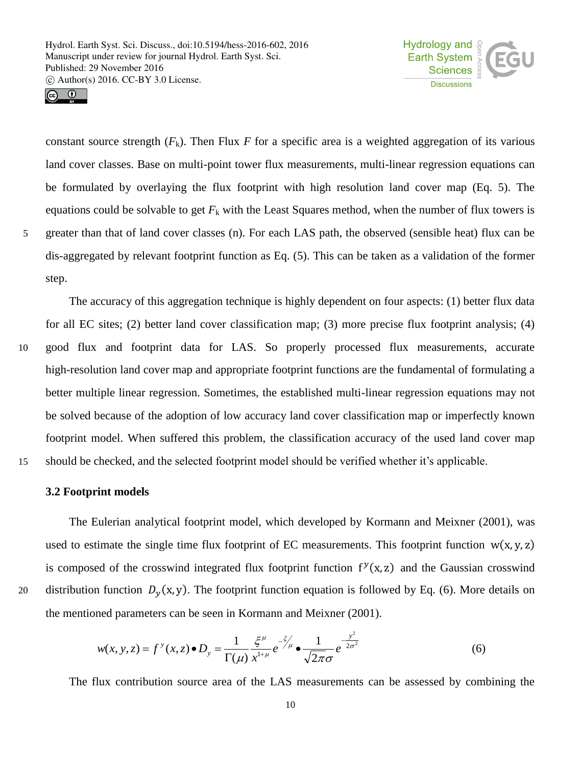



constant source strength  $(F_k)$ . Then Flux *F* for a specific area is a weighted aggregation of its various land cover classes. Base on multi-point tower flux measurements, multi-linear regression equations can be formulated by overlaying the flux footprint with high resolution land cover map (Eq. 5). The equations could be solvable to get  $F_k$  with the Least Squares method, when the number of flux towers is 5 greater than that of land cover classes (n). For each LAS path, the observed (sensible heat) flux can be dis-aggregated by relevant footprint function as Eq. (5). This can be taken as a validation of the former step.

The accuracy of this aggregation technique is highly dependent on four aspects: (1) better flux data for all EC sites; (2) better land cover classification map; (3) more precise flux footprint analysis; (4) 10 good flux and footprint data for LAS. So properly processed flux measurements, accurate high-resolution land cover map and appropriate footprint functions are the fundamental of formulating a better multiple linear regression. Sometimes, the established multi-linear regression equations may not be solved because of the adoption of low accuracy land cover classification map or imperfectly known footprint model. When suffered this problem, the classification accuracy of the used land cover map 15 should be checked, and the selected footprint model should be verified whether it's applicable.

**3.2 Footprint models**

The Eulerian analytical footprint model, which developed by Kormann and Meixner (2001), was used to estimate the single time flux footprint of EC measurements. This footprint function  $w(x, y, z)$ is composed of the crosswind integrated flux footprint function  $f<sup>y</sup>(x, z)$  and the Gaussian crosswind 20 distribution function  $D_v(x, y)$ . The footprint function equation is followed by Eq. (6). More details on the mentioned parameters can be seen in Kormann and Meixner (2001).

$$
w(x, y, z) = f^{y}(x, z) \bullet D_{y} = \frac{1}{\Gamma(\mu)} \frac{\xi^{\mu}}{x^{1+\mu}} e^{-\frac{\xi}{\mu}} \bullet \frac{1}{\sqrt{2\pi}\sigma} e^{-\frac{y^{2}}{2\sigma^{2}}}
$$
(6)

The flux contribution source area of the LAS measurements can be assessed by combining the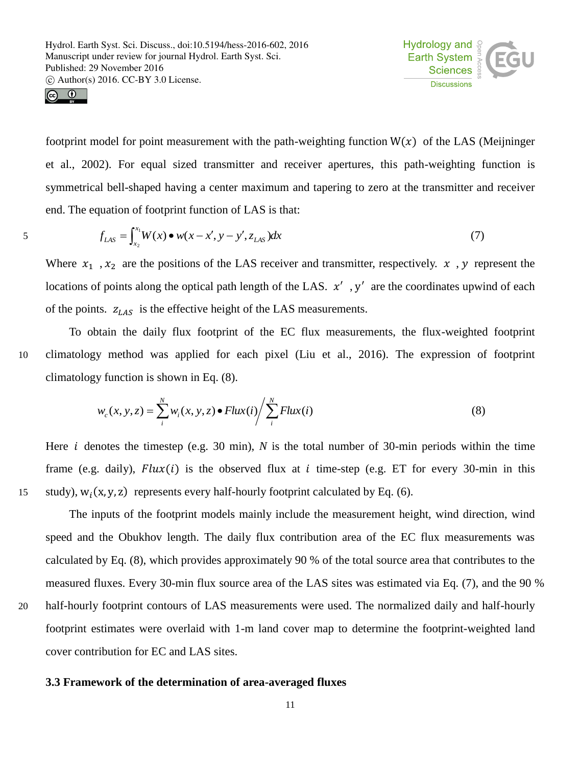



5

footprint model for point measurement with the path-weighting function  $W(x)$  of the LAS (Meijninger et al., 2002). For equal sized transmitter and receiver apertures, this path-weighting function is symmetrical bell-shaped having a center maximum and tapering to zero at the transmitter and receiver end. The equation of footprint function of LAS is that:

$$
f_{LAS} = \int_{x_2}^{x_1} W(x) \bullet w(x - x', y - y', z_{LAS}) dx
$$
 (7)

Where  $x_1$ ,  $x_2$  are the positions of the LAS receiver and transmitter, respectively.  $x$ ,  $y$  represent the locations of points along the optical path length of the LAS.  $x'$ , y' are the coordinates upwind of each of the points.  $z_{LAS}$  is the effective height of the LAS measurements.

To obtain the daily flux footprint of the EC flux measurements, the flux-weighted footprint 10 climatology method was applied for each pixel (Liu et al., 2016). The expression of footprint climatology function is shown in Eq. (8).

$$
w_c(x, y, z) = \sum_{i}^{N} w_i(x, y, z) \bullet Flux(i) / \sum_{i}^{N} Flux(i)
$$
\n(8)

Here *i* denotes the timestep (e.g. 30 min), *N* is the total number of 30-min periods within the time frame (e.g. daily),  $Flux(i)$  is the observed flux at *i* time-step (e.g. ET for every 30-min in this 15 (study),  $w_i(x, y, z)$  represents every half-hourly footprint calculated by Eq. (6).

The inputs of the footprint models mainly include the measurement height, wind direction, wind speed and the Obukhov length. The daily flux contribution area of the EC flux measurements was calculated by Eq. (8), which provides approximately 90 % of the total source area that contributes to the measured fluxes. Every 30-min flux source area of the LAS sites was estimated via Eq. (7), and the 90 % 20 half-hourly footprint contours of LAS measurements were used. The normalized daily and half-hourly footprint estimates were overlaid with 1-m land cover map to determine the footprint-weighted land cover contribution for EC and LAS sites.

## **3.3 Framework of the determination of area-averaged fluxes**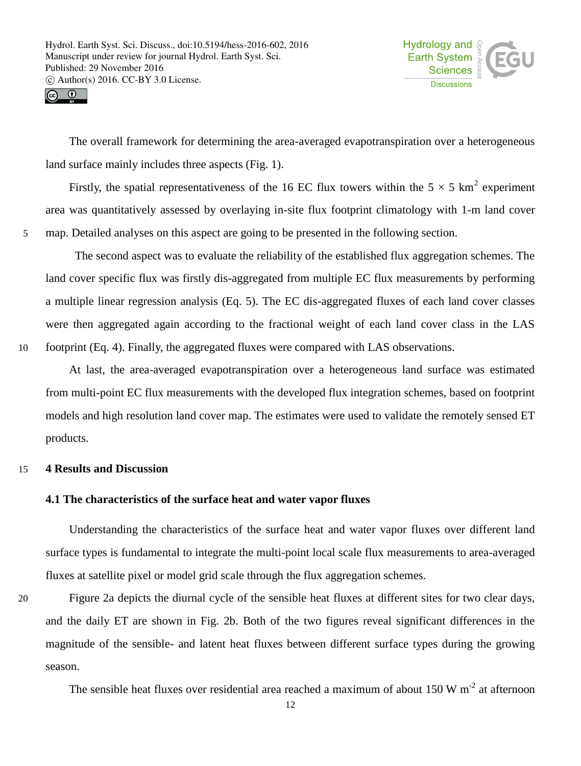



The overall framework for determining the area-averaged evapotranspiration over a heterogeneous land surface mainly includes three aspects (Fig. 1).

Firstly, the spatial representativeness of the 16 EC flux towers within the  $5 \times 5 \text{ km}^2$  experiment area was quantitatively assessed by overlaying in-site flux footprint climatology with 1-m land cover 5 map. Detailed analyses on this aspect are going to be presented in the following section.

The second aspect was to evaluate the reliability of the established flux aggregation schemes. The land cover specific flux was firstly dis-aggregated from multiple EC flux measurements by performing a multiple linear regression analysis (Eq. 5). The EC dis-aggregated fluxes of each land cover classes were then aggregated again according to the fractional weight of each land cover class in the LAS 10 footprint (Eq. 4). Finally, the aggregated fluxes were compared with LAS observations.

At last, the area-averaged evapotranspiration over a heterogeneous land surface was estimated from multi-point EC flux measurements with the developed flux integration schemes, based on footprint models and high resolution land cover map. The estimates were used to validate the remotely sensed ET products.

## 15 **4 Results and Discussion**

## **4.1 The characteristics of the surface heat and water vapor fluxes**

Understanding the characteristics of the surface heat and water vapor fluxes over different land surface types is fundamental to integrate the multi-point local scale flux measurements to area-averaged fluxes at satellite pixel or model grid scale through the flux aggregation schemes.

20 Figure 2a depicts the diurnal cycle of the sensible heat fluxes at different sites for two clear days, and the daily ET are shown in Fig. 2b. Both of the two figures reveal significant differences in the magnitude of the sensible- and latent heat fluxes between different surface types during the growing season.

The sensible heat fluxes over residential area reached a maximum of about  $150 \text{ W m}^{-2}$  at afternoon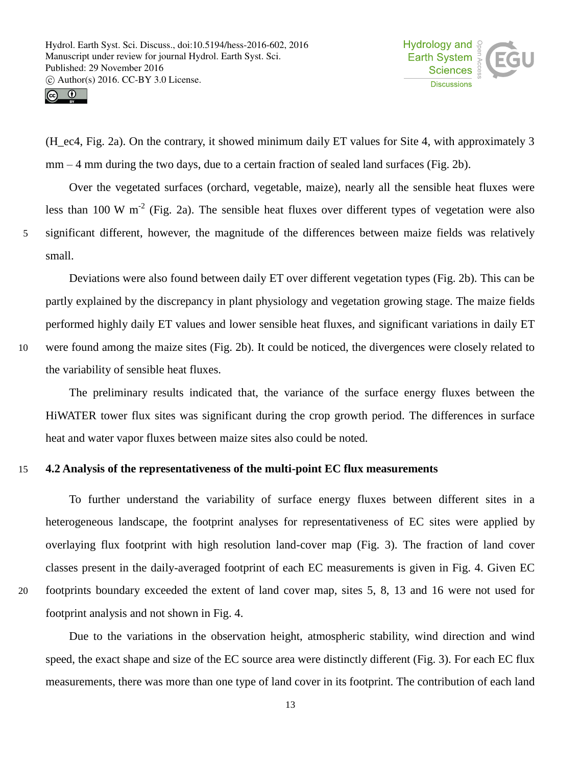

 $\circledcirc$ 

(H\_ec4, Fig. 2a). On the contrary, it showed minimum daily ET values for Site 4, with approximately 3 mm – 4 mm during the two days, due to a certain fraction of sealed land surfaces (Fig. 2b).

Over the vegetated surfaces (orchard, vegetable, maize), nearly all the sensible heat fluxes were less than 100 W  $m^{-2}$  (Fig. 2a). The sensible heat fluxes over different types of vegetation were also 5 significant different, however, the magnitude of the differences between maize fields was relatively small.

Deviations were also found between daily ET over different vegetation types (Fig. 2b). This can be partly explained by the discrepancy in plant physiology and vegetation growing stage. The maize fields performed highly daily ET values and lower sensible heat fluxes, and significant variations in daily ET 10 were found among the maize sites (Fig. 2b). It could be noticed, the divergences were closely related to the variability of sensible heat fluxes.

The preliminary results indicated that, the variance of the surface energy fluxes between the HiWATER tower flux sites was significant during the crop growth period. The differences in surface heat and water vapor fluxes between maize sites also could be noted.

## 15 **4.2 Analysis of the representativeness of the multi-point EC flux measurements**

To further understand the variability of surface energy fluxes between different sites in a heterogeneous landscape, the footprint analyses for representativeness of EC sites were applied by overlaying flux footprint with high resolution land-cover map (Fig. 3). The fraction of land cover classes present in the daily-averaged footprint of each EC measurements is given in Fig. 4. Given EC 20 footprints boundary exceeded the extent of land cover map, sites 5, 8, 13 and 16 were not used for footprint analysis and not shown in Fig. 4.

Due to the variations in the observation height, atmospheric stability, wind direction and wind speed, the exact shape and size of the EC source area were distinctly different (Fig. 3). For each EC flux measurements, there was more than one type of land cover in its footprint. The contribution of each land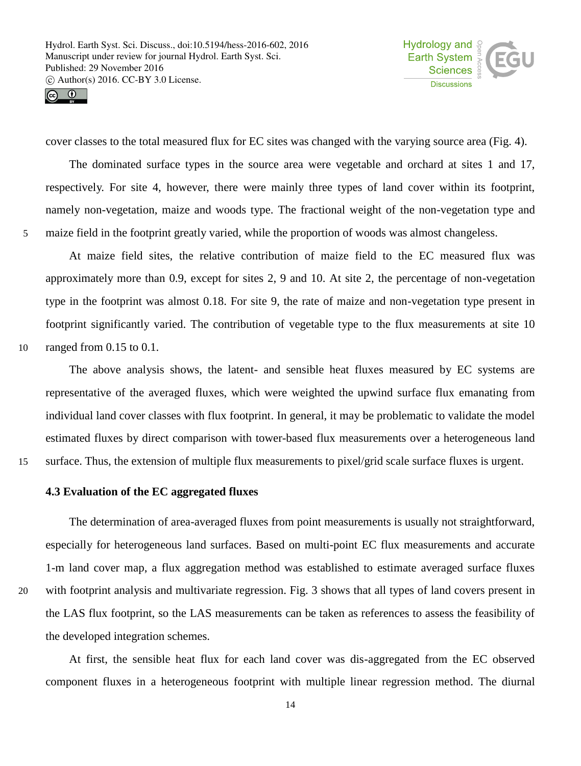



cover classes to the total measured flux for EC sites was changed with the varying source area (Fig. 4).

The dominated surface types in the source area were vegetable and orchard at sites 1 and 17, respectively. For site 4, however, there were mainly three types of land cover within its footprint, namely non-vegetation, maize and woods type. The fractional weight of the non-vegetation type and 5 maize field in the footprint greatly varied, while the proportion of woods was almost changeless.

At maize field sites, the relative contribution of maize field to the EC measured flux was approximately more than 0.9, except for sites 2, 9 and 10. At site 2, the percentage of non-vegetation type in the footprint was almost 0.18. For site 9, the rate of maize and non-vegetation type present in footprint significantly varied. The contribution of vegetable type to the flux measurements at site 10 10 ranged from 0.15 to 0.1.

The above analysis shows, the latent- and sensible heat fluxes measured by EC systems are representative of the averaged fluxes, which were weighted the upwind surface flux emanating from individual land cover classes with flux footprint. In general, it may be problematic to validate the model estimated fluxes by direct comparison with tower-based flux measurements over a heterogeneous land 15 surface. Thus, the extension of multiple flux measurements to pixel/grid scale surface fluxes is urgent.

### **4.3 Evaluation of the EC aggregated fluxes**

The determination of area-averaged fluxes from point measurements is usually not straightforward, especially for heterogeneous land surfaces. Based on multi-point EC flux measurements and accurate 1-m land cover map, a flux aggregation method was established to estimate averaged surface fluxes 20 with footprint analysis and multivariate regression. Fig. 3 shows that all types of land covers present in the LAS flux footprint, so the LAS measurements can be taken as references to assess the feasibility of the developed integration schemes.

At first, the sensible heat flux for each land cover was dis-aggregated from the EC observed component fluxes in a heterogeneous footprint with multiple linear regression method. The diurnal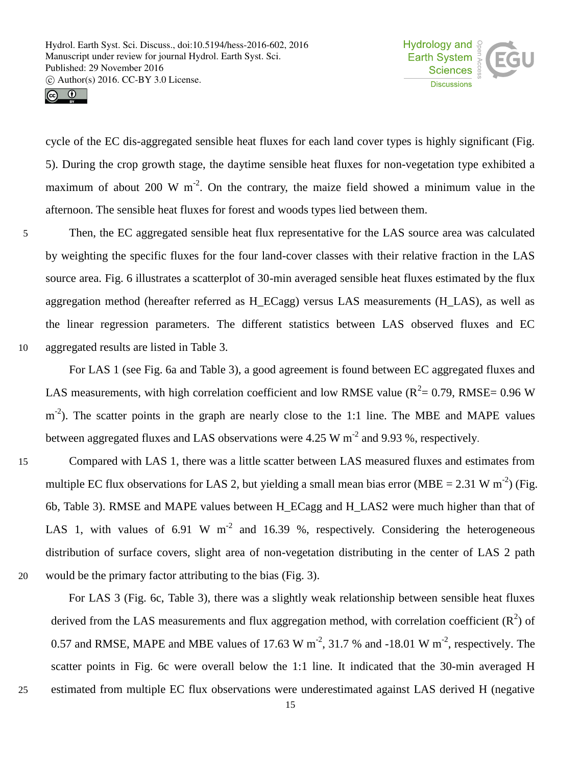

 $\circledcirc$ 

cycle of the EC dis-aggregated sensible heat fluxes for each land cover types is highly significant (Fig. 5). During the crop growth stage, the daytime sensible heat fluxes for non-vegetation type exhibited a maximum of about 200 W  $m^{-2}$ . On the contrary, the maize field showed a minimum value in the afternoon. The sensible heat fluxes for forest and woods types lied between them.

5 Then, the EC aggregated sensible heat flux representative for the LAS source area was calculated by weighting the specific fluxes for the four land-cover classes with their relative fraction in the LAS source area. Fig. 6 illustrates a scatterplot of 30-min averaged sensible heat fluxes estimated by the flux aggregation method (hereafter referred as H\_ECagg) versus LAS measurements (H\_LAS), as well as the linear regression parameters. The different statistics between LAS observed fluxes and EC 10 aggregated results are listed in Table 3.

For LAS 1 (see Fig. 6a and Table 3), a good agreement is found between EC aggregated fluxes and LAS measurements, with high correlation coefficient and low RMSE value ( $R^2$  = 0.79, RMSE = 0.96 W m<sup>-2</sup>). The scatter points in the graph are nearly close to the 1:1 line. The MBE and MAPE values between aggregated fluxes and LAS observations were 4.25 W  $m^{-2}$  and 9.93 %, respectively.

15 Compared with LAS 1, there was a little scatter between LAS measured fluxes and estimates from multiple EC flux observations for LAS 2, but yielding a small mean bias error (MBE = 2.31 W m<sup>-2</sup>) (Fig. 6b, Table 3). RMSE and MAPE values between H\_ECagg and H\_LAS2 were much higher than that of LAS 1, with values of 6.91 W  $m^{-2}$  and 16.39 %, respectively. Considering the heterogeneous distribution of surface covers, slight area of non-vegetation distributing in the center of LAS 2 path 20 would be the primary factor attributing to the bias (Fig. 3).

For LAS 3 (Fig. 6c, Table 3), there was a slightly weak relationship between sensible heat fluxes derived from the LAS measurements and flux aggregation method, with correlation coefficient  $(R^2)$  of 0.57 and RMSE, MAPE and MBE values of 17.63 W m<sup>-2</sup>, 31.7 % and -18.01 W m<sup>-2</sup>, respectively. The scatter points in Fig. 6c were overall below the 1:1 line. It indicated that the 30-min averaged H 25 estimated from multiple EC flux observations were underestimated against LAS derived H (negative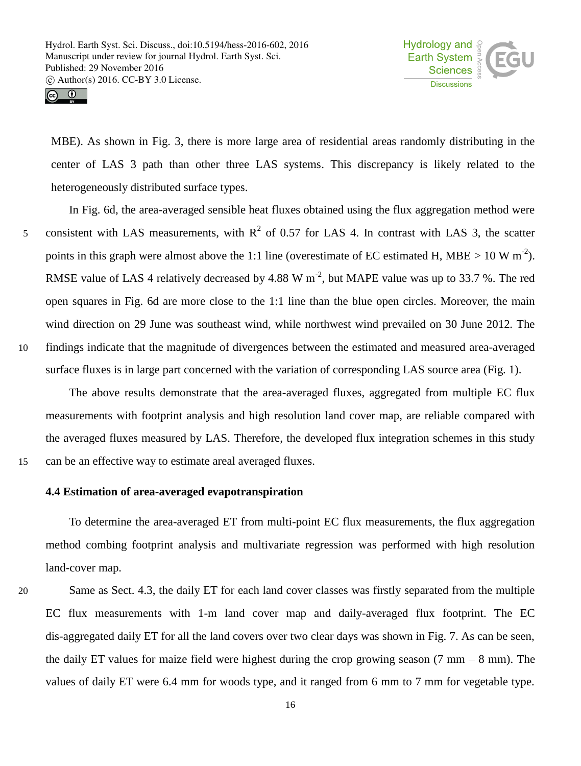

 $\circledcirc$ 

MBE). As shown in Fig. 3, there is more large area of residential areas randomly distributing in the center of LAS 3 path than other three LAS systems. This discrepancy is likely related to the heterogeneously distributed surface types.

In Fig. 6d, the area-averaged sensible heat fluxes obtained using the flux aggregation method were 5 consistent with LAS measurements, with  $R^2$  of 0.57 for LAS 4. In contrast with LAS 3, the scatter points in this graph were almost above the 1:1 line (overestimate of EC estimated H, MBE  $> 10 \text{ W m}^2$ ). RMSE value of LAS 4 relatively decreased by 4.88 W  $m^{-2}$ , but MAPE value was up to 33.7 %. The red open squares in Fig. 6d are more close to the 1:1 line than the blue open circles. Moreover, the main wind direction on 29 June was southeast wind, while northwest wind prevailed on 30 June 2012. The 10 findings indicate that the magnitude of divergences between the estimated and measured area-averaged surface fluxes is in large part concerned with the variation of corresponding LAS source area (Fig. 1).

The above results demonstrate that the area-averaged fluxes, aggregated from multiple EC flux measurements with footprint analysis and high resolution land cover map, are reliable compared with the averaged fluxes measured by LAS. Therefore, the developed flux integration schemes in this study 15 can be an effective way to estimate areal averaged fluxes.

## **4.4 Estimation of area-averaged evapotranspiration**

To determine the area-averaged ET from multi-point EC flux measurements, the flux aggregation method combing footprint analysis and multivariate regression was performed with high resolution land-cover map.

20 Same as Sect. 4.3, the daily ET for each land cover classes was firstly separated from the multiple EC flux measurements with 1-m land cover map and daily-averaged flux footprint. The EC dis-aggregated daily ET for all the land covers over two clear days was shown in Fig. 7. As can be seen, the daily ET values for maize field were highest during the crop growing season  $(7 \text{ mm} - 8 \text{ mm})$ . The values of daily ET were 6.4 mm for woods type, and it ranged from 6 mm to 7 mm for vegetable type.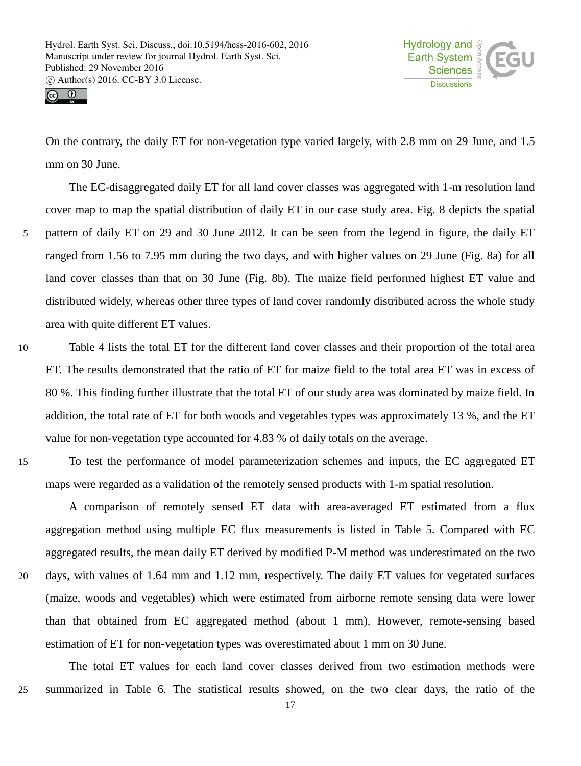



On the contrary, the daily ET for non-vegetation type varied largely, with 2.8 mm on 29 June, and 1.5 mm on 30 June.

The EC-disaggregated daily ET for all land cover classes was aggregated with 1-m resolution land cover map to map the spatial distribution of daily ET in our case study area. Fig. 8 depicts the spatial 5 pattern of daily ET on 29 and 30 June 2012. It can be seen from the legend in figure, the daily ET ranged from 1.56 to 7.95 mm during the two days, and with higher values on 29 June (Fig. 8a) for all land cover classes than that on 30 June (Fig. 8b). The maize field performed highest ET value and distributed widely, whereas other three types of land cover randomly distributed across the whole study area with quite different ET values.

10 Table 4 lists the total ET for the different land cover classes and their proportion of the total area ET. The results demonstrated that the ratio of ET for maize field to the total area ET was in excess of 80 %. This finding further illustrate that the total ET of our study area was dominated by maize field. In addition, the total rate of ET for both woods and vegetables types was approximately 13 %, and the ET value for non-vegetation type accounted for 4.83 % of daily totals on the average.

15 To test the performance of model parameterization schemes and inputs, the EC aggregated ET maps were regarded as a validation of the remotely sensed products with 1-m spatial resolution.

A comparison of remotely sensed ET data with area-averaged ET estimated from a flux aggregation method using multiple EC flux measurements is listed in Table 5. Compared with EC aggregated results, the mean daily ET derived by modified P-M method was underestimated on the two 20 days, with values of 1.64 mm and 1.12 mm, respectively. The daily ET values for vegetated surfaces (maize, woods and vegetables) which were estimated from airborne remote sensing data were lower than that obtained from EC aggregated method (about 1 mm). However, remote-sensing based estimation of ET for non-vegetation types was overestimated about 1 mm on 30 June.

The total ET values for each land cover classes derived from two estimation methods were 25 summarized in Table 6. The statistical results showed, on the two clear days, the ratio of the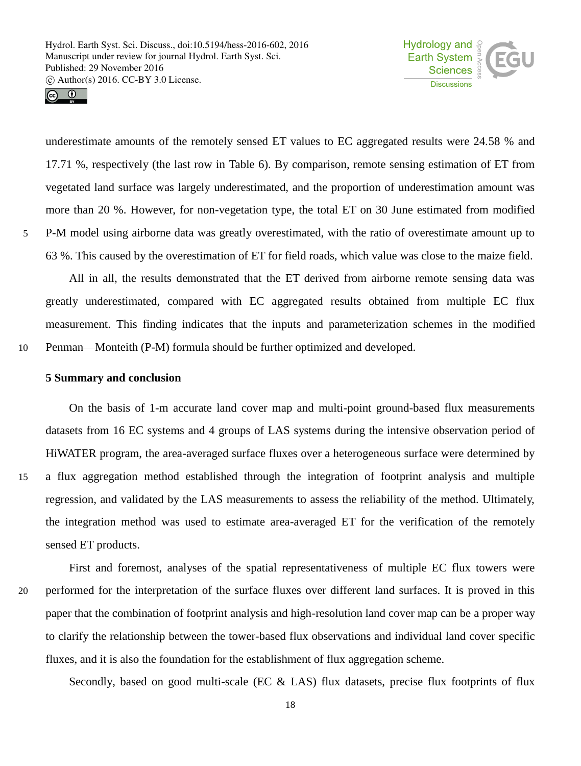



underestimate amounts of the remotely sensed ET values to EC aggregated results were 24.58 % and 17.71 %, respectively (the last row in Table 6). By comparison, remote sensing estimation of ET from vegetated land surface was largely underestimated, and the proportion of underestimation amount was more than 20 %. However, for non-vegetation type, the total ET on 30 June estimated from modified 5 P-M model using airborne data was greatly overestimated, with the ratio of overestimate amount up to 63 %. This caused by the overestimation of ET for field roads, which value was close to the maize field.

All in all, the results demonstrated that the ET derived from airborne remote sensing data was greatly underestimated, compared with EC aggregated results obtained from multiple EC flux measurement. This finding indicates that the inputs and parameterization schemes in the modified 10 Penman—Monteith (P-M) formula should be further optimized and developed.

#### **5 Summary and conclusion**

On the basis of 1-m accurate land cover map and multi-point ground-based flux measurements datasets from 16 EC systems and 4 groups of LAS systems during the intensive observation period of HiWATER program, the area-averaged surface fluxes over a heterogeneous surface were determined by 15 a flux aggregation method established through the integration of footprint analysis and multiple regression, and validated by the LAS measurements to assess the reliability of the method. Ultimately, the integration method was used to estimate area-averaged ET for the verification of the remotely sensed ET products.

First and foremost, analyses of the spatial representativeness of multiple EC flux towers were 20 performed for the interpretation of the surface fluxes over different land surfaces. It is proved in this paper that the combination of footprint analysis and high-resolution land cover map can be a proper way to clarify the relationship between the tower-based flux observations and individual land cover specific fluxes, and it is also the foundation for the establishment of flux aggregation scheme.

Secondly, based on good multi-scale (EC & LAS) flux datasets, precise flux footprints of flux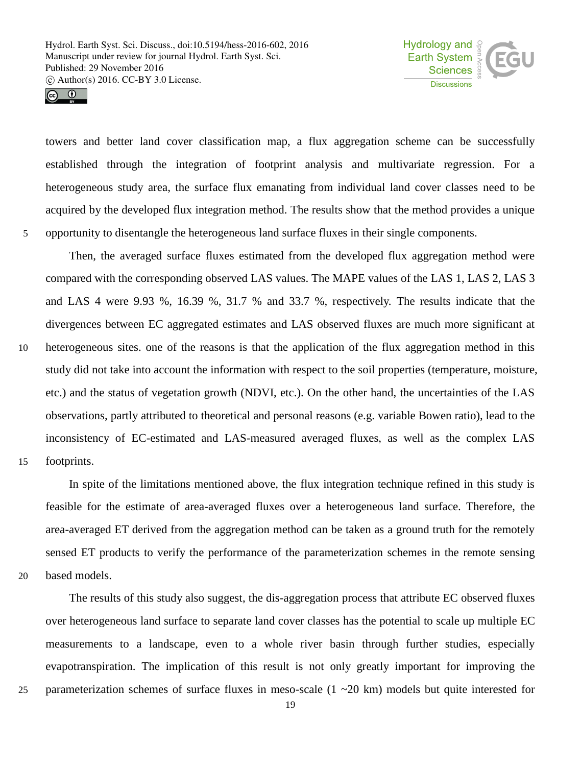



towers and better land cover classification map, a flux aggregation scheme can be successfully established through the integration of footprint analysis and multivariate regression. For a heterogeneous study area, the surface flux emanating from individual land cover classes need to be acquired by the developed flux integration method. The results show that the method provides a unique 5 opportunity to disentangle the heterogeneous land surface fluxes in their single components.

Then, the averaged surface fluxes estimated from the developed flux aggregation method were compared with the corresponding observed LAS values. The MAPE values of the LAS 1, LAS 2, LAS 3 and LAS 4 were 9.93 %, 16.39 %, 31.7 % and 33.7 %, respectively. The results indicate that the divergences between EC aggregated estimates and LAS observed fluxes are much more significant at 10 heterogeneous sites. one of the reasons is that the application of the flux aggregation method in this study did not take into account the information with respect to the soil properties (temperature, moisture, etc.) and the status of vegetation growth (NDVI, etc.). On the other hand, the uncertainties of the LAS observations, partly attributed to theoretical and personal reasons (e.g. variable Bowen ratio), lead to the inconsistency of EC-estimated and LAS-measured averaged fluxes, as well as the complex LAS 15 footprints.

In spite of the limitations mentioned above, the flux integration technique refined in this study is feasible for the estimate of area-averaged fluxes over a heterogeneous land surface. Therefore, the area-averaged ET derived from the aggregation method can be taken as a ground truth for the remotely sensed ET products to verify the performance of the parameterization schemes in the remote sensing 20 based models.

The results of this study also suggest, the dis-aggregation process that attribute EC observed fluxes over heterogeneous land surface to separate land cover classes has the potential to scale up multiple EC measurements to a landscape, even to a whole river basin through further studies, especially evapotranspiration. The implication of this result is not only greatly important for improving the 25 parameterization schemes of surface fluxes in meso-scale (1 ~20 km) models but quite interested for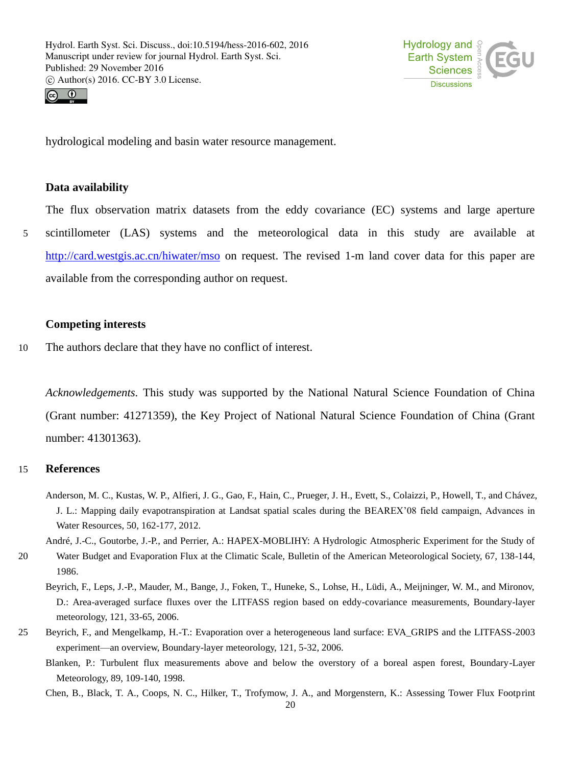



hydrological modeling and basin water resource management.

## **Data availability**

The flux observation matrix datasets from the eddy covariance (EC) systems and large aperture

5 scintillometer (LAS) systems and the meteorological data in this study are available at http://card.westgis.ac.cn/hiwater/mso on request. The revised 1-m land cover data for this paper are available from the corresponding author on request.

## **Competing interests**

10 The authors declare that they have no conflict of interest.

*Acknowledgements.* This study was supported by the National Natural Science Foundation of China (Grant number: 41271359), the Key Project of National Natural Science Foundation of China (Grant number: 41301363).

## 15 **References**

- Anderson, M. C., Kustas, W. P., Alfieri, J. G., Gao, F., Hain, C., Prueger, J. H., Evett, S., Colaizzi, P., Howell, T., and Chávez, J. L.: Mapping daily evapotranspiration at Landsat spatial scales during the BEAREX'08 field campaign, Advances in Water Resources, 50, 162-177, 2012.
- André, J.-C., Goutorbe, J.-P., and Perrier, A.: HAPEX-MOBLIHY: A Hydrologic Atmospheric Experiment for the Study of 20 Water Budget and Evaporation Flux at the Climatic Scale, Bulletin of the American Meteorological Society, 67, 138-144, 1986.
	- Beyrich, F., Leps, J.-P., Mauder, M., Bange, J., Foken, T., Huneke, S., Lohse, H., Lüdi, A., Meijninger, W. M., and Mironov, D.: Area-averaged surface fluxes over the LITFASS region based on eddy-covariance measurements, Boundary-layer meteorology, 121, 33-65, 2006.
- 25 Beyrich, F., and Mengelkamp, H.-T.: Evaporation over a heterogeneous land surface: EVA\_GRIPS and the LITFASS-2003 experiment—an overview, Boundary-layer meteorology, 121, 5-32, 2006.
	- Blanken, P.: Turbulent flux measurements above and below the overstory of a boreal aspen forest, Boundary-Layer Meteorology, 89, 109-140, 1998.

Chen, B., Black, T. A., Coops, N. C., Hilker, T., Trofymow, J. A., and Morgenstern, K.: Assessing Tower Flux Footprint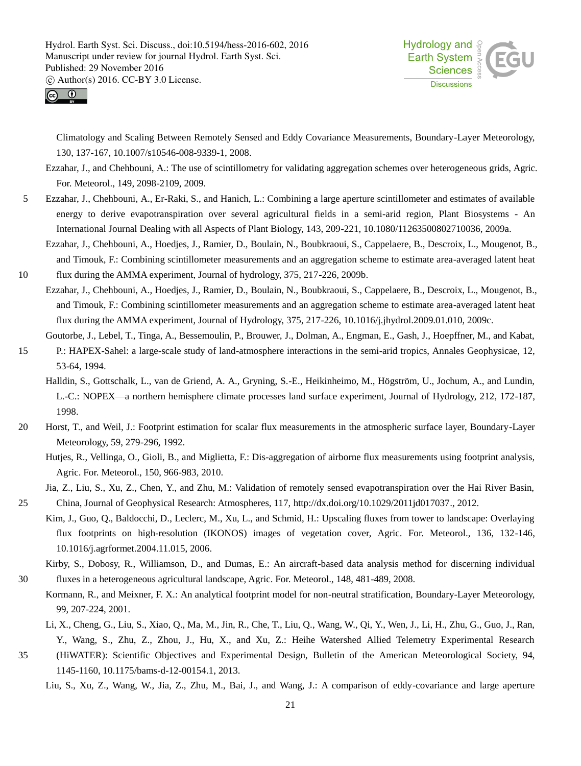



53-64, 1994.

Climatology and Scaling Between Remotely Sensed and Eddy Covariance Measurements, Boundary-Layer Meteorology, 130, 137-167, 10.1007/s10546-008-9339-1, 2008.

Ezzahar, J., and Chehbouni, A.: The use of scintillometry for validating aggregation schemes over heterogeneous grids, Agric. For. Meteorol., 149, 2098-2109, 2009.

- 5 Ezzahar, J., Chehbouni, A., Er-Raki, S., and Hanich, L.: Combining a large aperture scintillometer and estimates of available energy to derive evapotranspiration over several agricultural fields in a semi-arid region, Plant Biosystems - An International Journal Dealing with all Aspects of Plant Biology, 143, 209-221, 10.1080/11263500802710036, 2009a.
- Ezzahar, J., Chehbouni, A., Hoedjes, J., Ramier, D., Boulain, N., Boubkraoui, S., Cappelaere, B., Descroix, L., Mougenot, B., and Timouk, F.: Combining scintillometer measurements and an aggregation scheme to estimate area-averaged latent heat 10 flux during the AMMA experiment, Journal of hydrology, 375, 217-226, 2009b.
	- Ezzahar, J., Chehbouni, A., Hoedjes, J., Ramier, D., Boulain, N., Boubkraoui, S., Cappelaere, B., Descroix, L., Mougenot, B., and Timouk, F.: Combining scintillometer measurements and an aggregation scheme to estimate area-averaged latent heat flux during the AMMA experiment, Journal of Hydrology, 375, 217-226, 10.1016/j.jhydrol.2009.01.010, 2009c.
- Goutorbe, J., Lebel, T., Tinga, A., Bessemoulin, P., Brouwer, J., Dolman, A., Engman, E., Gash, J., Hoepffner, M., and Kabat, 15 P.: HAPEX-Sahel: a large-scale study of land-atmosphere interactions in the semi-arid tropics, Annales Geophysicae, 12,

Halldin, S., Gottschalk, L., van de Griend, A. A., Gryning, S.-E., Heikinheimo, M., Högström, U., Jochum, A., and Lundin, L.-C.: NOPEX—a northern hemisphere climate processes land surface experiment, Journal of Hydrology, 212, 172-187, 1998.

- 20 Horst, T., and Weil, J.: Footprint estimation for scalar flux measurements in the atmospheric surface layer, Boundary-Layer Meteorology, 59, 279-296, 1992.
	- Hutjes, R., Vellinga, O., Gioli, B., and Miglietta, F.: Dis-aggregation of airborne flux measurements using footprint analysis, Agric. For. Meteorol., 150, 966-983, 2010.

Jia, Z., Liu, S., Xu, Z., Chen, Y., and Zhu, M.: Validation of remotely sensed evapotranspiration over the Hai River Basin,

- 25 China, Journal of Geophysical Research: Atmospheres, 117, http://dx.doi.org/10.1029/2011jd017037., 2012. Kim, J., Guo, Q., Baldocchi, D., Leclerc, M., Xu, L., and Schmid, H.: Upscaling fluxes from tower to landscape: Overlaying
	- flux footprints on high-resolution (IKONOS) images of vegetation cover, Agric. For. Meteorol., 136, 132-146, 10.1016/j.agrformet.2004.11.015, 2006.
- Kirby, S., Dobosy, R., Williamson, D., and Dumas, E.: An aircraft-based data analysis method for discerning individual 30 fluxes in a heterogeneous agricultural landscape, Agric. For. Meteorol., 148, 481-489, 2008.
	- Kormann, R., and Meixner, F. X.: An analytical footprint model for non-neutral stratification, Boundary-Layer Meteorology, 99, 207-224, 2001.
- Li, X., Cheng, G., Liu, S., Xiao, Q., Ma, M., Jin, R., Che, T., Liu, Q., Wang, W., Qi, Y., Wen, J., Li, H., Zhu, G., Guo, J., Ran, Y., Wang, S., Zhu, Z., Zhou, J., Hu, X., and Xu, Z.: Heihe Watershed Allied Telemetry Experimental Research 35 (HiWATER): Scientific Objectives and Experimental Design, Bulletin of the American Meteorological Society, 94,
	- 1145-1160, 10.1175/bams-d-12-00154.1, 2013.

Liu, S., Xu, Z., Wang, W., Jia, Z., Zhu, M., Bai, J., and Wang, J.: A comparison of eddy-covariance and large aperture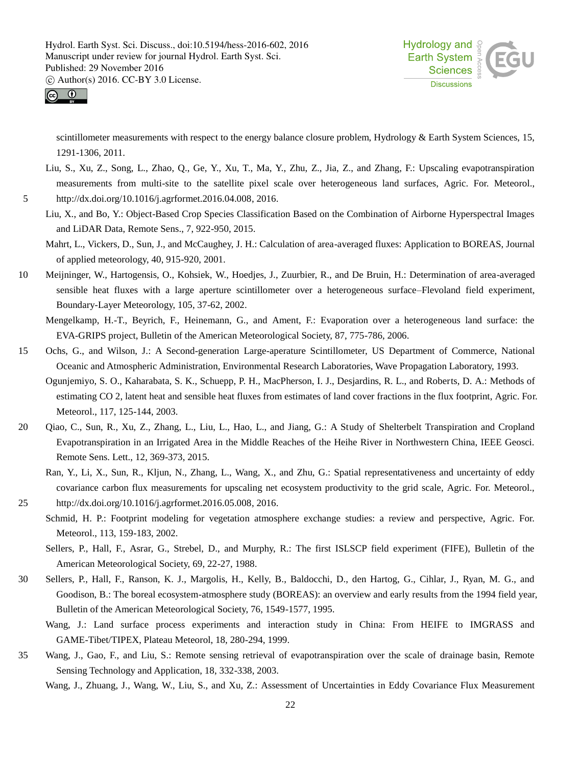



scintillometer measurements with respect to the energy balance closure problem, Hydrology & Earth System Sciences, 15, 1291-1306, 2011.

- Liu, S., Xu, Z., Song, L., Zhao, Q., Ge, Y., Xu, T., Ma, Y., Zhu, Z., Jia, Z., and Zhang, F.: Upscaling evapotranspiration measurements from multi-site to the satellite pixel scale over heterogeneous land surfaces, Agric. For. Meteorol., 5 http://dx.doi.org/10.1016/j.agrformet.2016.04.008, 2016.
	- Liu, X., and Bo, Y.: Object-Based Crop Species Classification Based on the Combination of Airborne Hyperspectral Images and LiDAR Data, Remote Sens., 7, 922-950, 2015.
	- Mahrt, L., Vickers, D., Sun, J., and McCaughey, J. H.: Calculation of area-averaged fluxes: Application to BOREAS, Journal of applied meteorology, 40, 915-920, 2001.
- 10 Meijninger, W., Hartogensis, O., Kohsiek, W., Hoedjes, J., Zuurbier, R., and De Bruin, H.: Determination of area-averaged sensible heat fluxes with a large aperture scintillometer over a heterogeneous surface–Flevoland field experiment, Boundary-Layer Meteorology, 105, 37-62, 2002.

Mengelkamp, H.-T., Beyrich, F., Heinemann, G., and Ament, F.: Evaporation over a heterogeneous land surface: the EVA-GRIPS project, Bulletin of the American Meteorological Society, 87, 775-786, 2006.

- 15 Ochs, G., and Wilson, J.: A Second-generation Large-aperature Scintillometer, US Department of Commerce, National Oceanic and Atmospheric Administration, Environmental Research Laboratories, Wave Propagation Laboratory, 1993.
	- Ogunjemiyo, S. O., Kaharabata, S. K., Schuepp, P. H., MacPherson, I. J., Desjardins, R. L., and Roberts, D. A.: Methods of estimating CO 2, latent heat and sensible heat fluxes from estimates of land cover fractions in the flux footprint, Agric. For. Meteorol., 117, 125-144, 2003.
- 20 Qiao, C., Sun, R., Xu, Z., Zhang, L., Liu, L., Hao, L., and Jiang, G.: A Study of Shelterbelt Transpiration and Cropland Evapotranspiration in an Irrigated Area in the Middle Reaches of the Heihe River in Northwestern China, IEEE Geosci. Remote Sens. Lett., 12, 369-373, 2015.
	- Ran, Y., Li, X., Sun, R., Kljun, N., Zhang, L., Wang, X., and Zhu, G.: Spatial representativeness and uncertainty of eddy covariance carbon flux measurements for upscaling net ecosystem productivity to the grid scale, Agric. For. Meteorol.,
- 25 http://dx.doi.org/10.1016/j.agrformet.2016.05.008, 2016.
	- Schmid, H. P.: Footprint modeling for vegetation atmosphere exchange studies: a review and perspective, Agric. For. Meteorol., 113, 159-183, 2002.
		- Sellers, P., Hall, F., Asrar, G., Strebel, D., and Murphy, R.: The first ISLSCP field experiment (FIFE), Bulletin of the American Meteorological Society, 69, 22-27, 1988.
- 30 Sellers, P., Hall, F., Ranson, K. J., Margolis, H., Kelly, B., Baldocchi, D., den Hartog, G., Cihlar, J., Ryan, M. G., and Goodison, B.: The boreal ecosystem-atmosphere study (BOREAS): an overview and early results from the 1994 field year, Bulletin of the American Meteorological Society, 76, 1549-1577, 1995.
	- Wang, J.: Land surface process experiments and interaction study in China: From HEIFE to IMGRASS and GAME-Tibet/TIPEX, Plateau Meteorol, 18, 280-294, 1999.
- 35 Wang, J., Gao, F., and Liu, S.: Remote sensing retrieval of evapotranspiration over the scale of drainage basin, Remote Sensing Technology and Application, 18, 332-338, 2003.

Wang, J., Zhuang, J., Wang, W., Liu, S., and Xu, Z.: Assessment of Uncertainties in Eddy Covariance Flux Measurement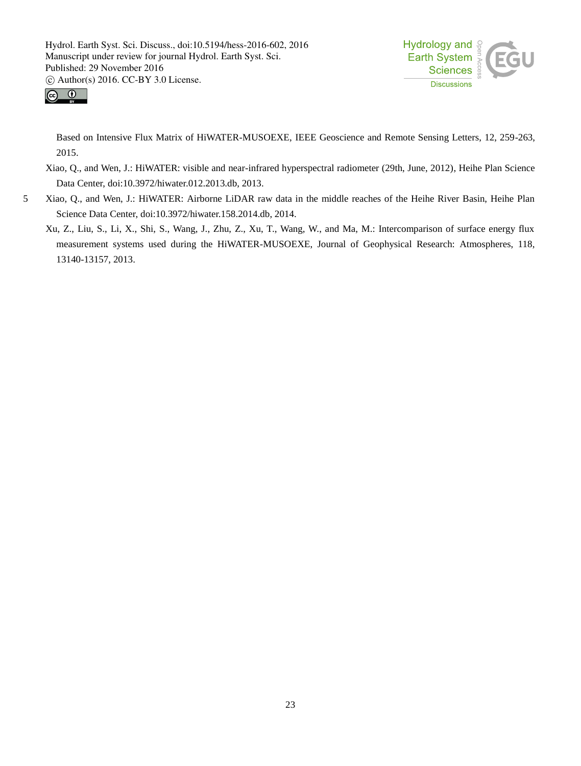



Based on Intensive Flux Matrix of HiWATER-MUSOEXE, IEEE Geoscience and Remote Sensing Letters, 12, 259-263, 2015.

- Xiao, Q., and Wen, J.: HiWATER: visible and near-infrared hyperspectral radiometer (29th, June, 2012), Heihe Plan Science Data Center, doi:10.3972/hiwater.012.2013.db, 2013.
- 5 Xiao, Q., and Wen, J.: HiWATER: Airborne LiDAR raw data in the middle reaches of the Heihe River Basin, Heihe Plan Science Data Center, doi:10.3972/hiwater.158.2014.db, 2014.
	- Xu, Z., Liu, S., Li, X., Shi, S., Wang, J., Zhu, Z., Xu, T., Wang, W., and Ma, M.: Intercomparison of surface energy flux measurement systems used during the HiWATER-MUSOEXE, Journal of Geophysical Research: Atmospheres, 118, 13140-13157, 2013.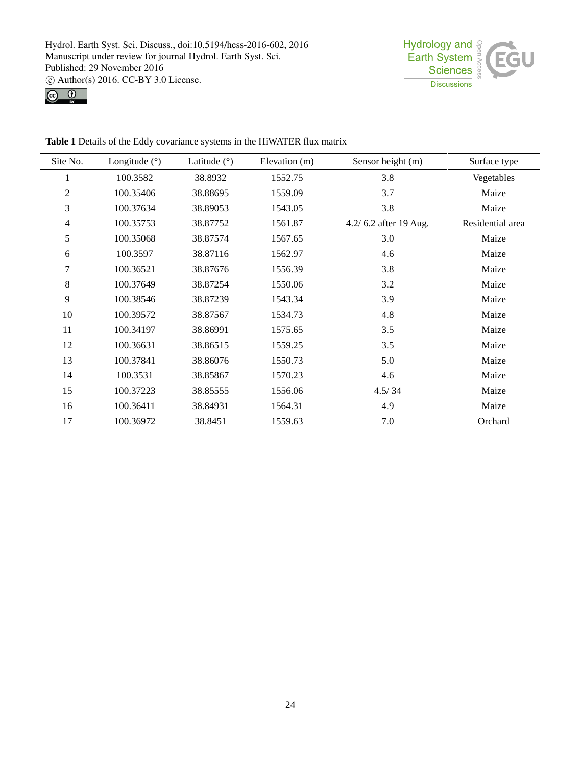



| Site No. | Longitude $(9)$ | Latitude $( \hat{ } )$ | Elevation (m) | Sensor height (m)     | Surface type     |
|----------|-----------------|------------------------|---------------|-----------------------|------------------|
|          | 100.3582        | 38.8932                | 1552.75       | 3.8                   | Vegetables       |
| 2        | 100.35406       | 38.88695               | 1559.09       | 3.7                   | Maize            |
| 3        | 100.37634       | 38.89053               | 1543.05       | 3.8                   | Maize            |
| 4        | 100.35753       | 38.87752               | 1561.87       | 4.2/6.2 after 19 Aug. | Residential area |
| 5        | 100.35068       | 38.87574               | 1567.65       | 3.0                   | Maize            |
| 6        | 100.3597        | 38.87116               | 1562.97       | 4.6                   | Maize            |
| 7        | 100.36521       | 38.87676               | 1556.39       | 3.8                   | Maize            |
| 8        | 100.37649       | 38.87254               | 1550.06       | 3.2                   | Maize            |
| 9        | 100.38546       | 38.87239               | 1543.34       | 3.9                   | Maize            |
| $10\,$   | 100.39572       | 38.87567               | 1534.73       | 4.8                   | Maize            |
| 11       | 100.34197       | 38.86991               | 1575.65       | 3.5                   | Maize            |
| 12       | 100.36631       | 38.86515               | 1559.25       | 3.5                   | Maize            |
| 13       | 100.37841       | 38.86076               | 1550.73       | 5.0                   | Maize            |
| 14       | 100.3531        | 38.85867               | 1570.23       | 4.6                   | Maize            |
| 15       | 100.37223       | 38.85555               | 1556.06       | 4.5/34                | Maize            |
| 16       | 100.36411       | 38.84931               | 1564.31       | 4.9                   | Maize            |
| 17       | 100.36972       | 38.8451                | 1559.63       | 7.0                   | Orchard          |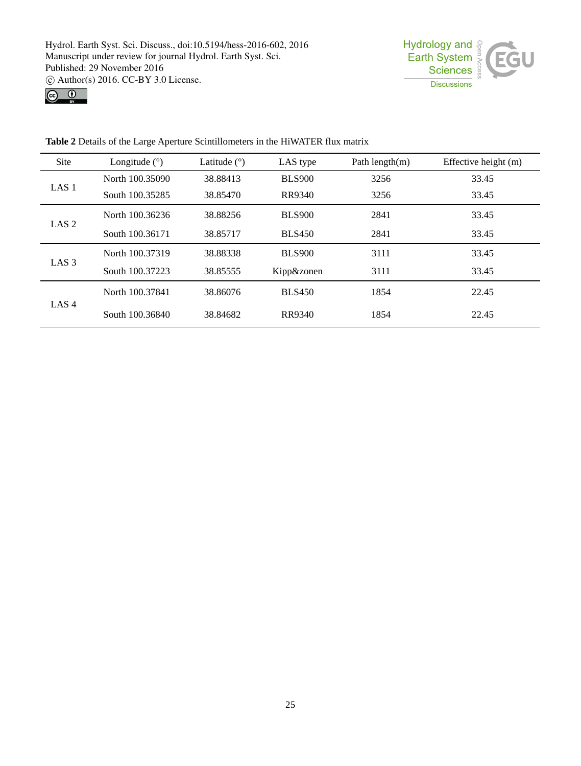



**Table 2** Details of the Large Aperture Scintillometers in the HiWATER flux matrix

| Site                                                                           | Longitude $( \hat{ } )$ | Latitude $( \hat{\theta} )$ | LAS type      | Path length $(m)$                                                                                  | Effective height (m) |
|--------------------------------------------------------------------------------|-------------------------|-----------------------------|---------------|----------------------------------------------------------------------------------------------------|----------------------|
|                                                                                | North 100.35090         | 38.88413                    | <b>BLS900</b> | 3256                                                                                               | 33.45                |
| LAS <sub>1</sub>                                                               | South 100.35285         | 38.85470                    | <b>RR9340</b> | 3256                                                                                               | 33.45                |
| LAS <sub>2</sub>                                                               | North 100.36236         | 38.88256                    | <b>BLS900</b> | 2841<br>33.45<br>2841<br>33.45<br>3111<br>33.45<br>3111<br>33.45<br>1854<br>22.45<br>1854<br>22.45 |                      |
|                                                                                | South 100.36171         | 38.85717                    | <b>BLS450</b> |                                                                                                    |                      |
|                                                                                | North 100.37319         | 38.88338                    | <b>BLS900</b> |                                                                                                    |                      |
| LAS <sub>3</sub>                                                               | South 100.37223         | 38.85555                    | Kipp&zonen    |                                                                                                    |                      |
| North 100.37841<br>38.86076<br>LAS <sub>4</sub><br>South 100,36840<br>38.84682 |                         |                             | <b>BLS450</b> |                                                                                                    |                      |
|                                                                                | RR9340                  |                             |               |                                                                                                    |                      |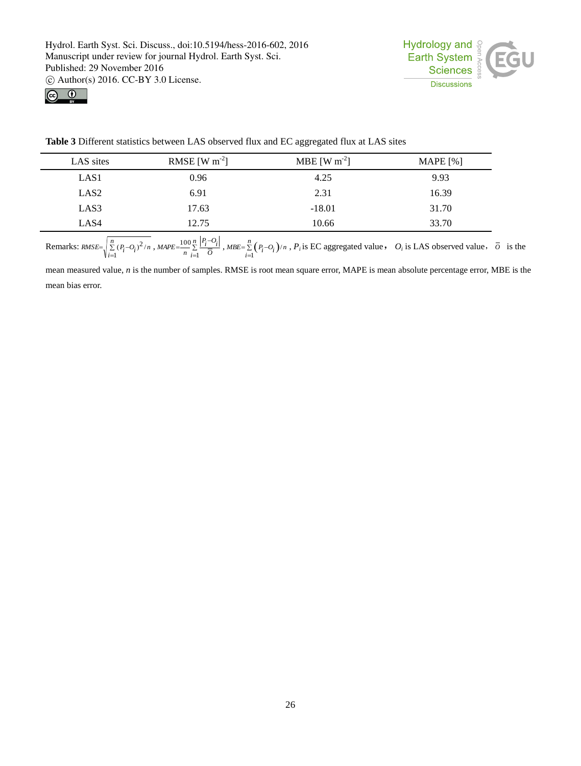



**Table 3** Different statistics between LAS observed flux and EC aggregated flux at LAS sites

| LAS sites        | RMSE [W $m^{-2}$ ] | MBE [W $m^{-2}$ ] | MAPE $[%]$ |
|------------------|--------------------|-------------------|------------|
| LAS <sub>1</sub> | 0.96               | 4.25              | 9.93       |
| LAS <sub>2</sub> | 6.91               | 2.31              | 16.39      |
| LAS3             | 17.63              | $-18.01$          | 31.70      |
| LAS4             | 12.75              | 10.66             | 33.70      |

Remarks:  $RMSE = \sqrt{\sum_{i=1}^{N}}$  $=\int_{0}^{n} \sum_{i=1}^{n} (P_i$ *i*  $RMSE = \sqrt{\sum_i (P_i - Q_i)^2 / n}$ 1  $(P_i - Q_i)^2/n$ , MAPE= $\frac{100}{n} \sum_{i=1}^{n}$  $=\frac{100}{2} \frac{n}{2} \frac{P_i}{P_i}$  $\bar{i}$  *O*  $P_i$ <sup>-O</sup><sub>*i*</sub>  $MAPE = \frac{16}{n}$ 1  $\frac{100}{n} \sum_{i=1}^{n} \frac{|F_i - C_i|}{\overline{O}}$ , MBE= $\sum_{i=1}^{n} (P_i - O_i)$  $=\sum_{i=1}^{n} (P_i$ *i MBE* =  $\sum_i (P_i - O_i) / n$  $\frac{1}{Q}$   $(P_i-O_i)/n$ ,  $P_i$  is EC aggregated value,  $O_i$  is LAS observed value,  $\overline{O}$  is the

mean measured value, *n* is the number of samples. RMSE is root mean square error, MAPE is mean absolute percentage error, MBE is the mean bias error.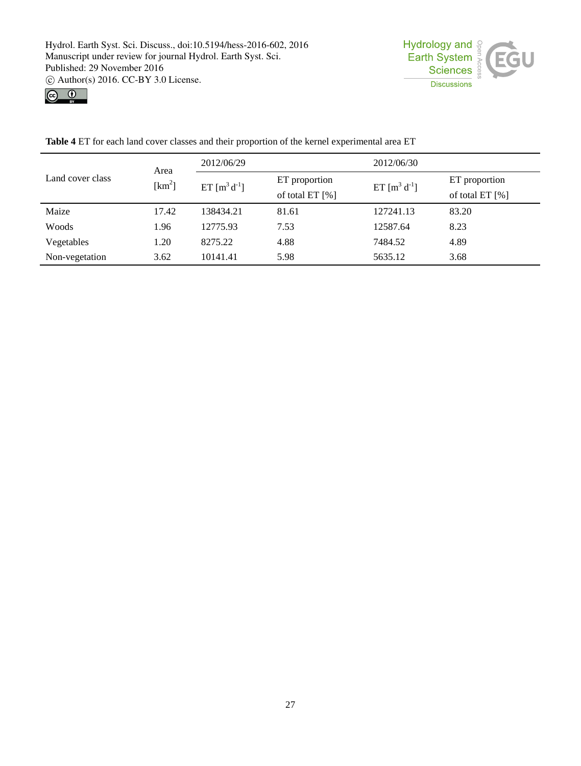



**Table 4** ET for each land cover classes and their proportion of the kernel experimental area ET

|                  | Area               | 2012/06/29        |                 | 2012/06/30        |                 |
|------------------|--------------------|-------------------|-----------------|-------------------|-----------------|
| Land cover class | [km <sup>2</sup> ] | ET $[m^3 d^{-1}]$ | ET proportion   | ET $[m^3 d^{-1}]$ | ET proportion   |
|                  |                    |                   | of total ET [%] |                   | of total ET [%] |
| Maize            | 17.42              | 138434.21         | 81.61           | 127241.13         | 83.20           |
| Woods            | 1.96               | 12775.93          | 7.53            | 12587.64          | 8.23            |
| Vegetables       | 1.20               | 8275.22           | 4.88            | 7484.52           | 4.89            |
| Non-vegetation   | 3.62               | 10141.41          | 5.98            | 5635.12           | 3.68            |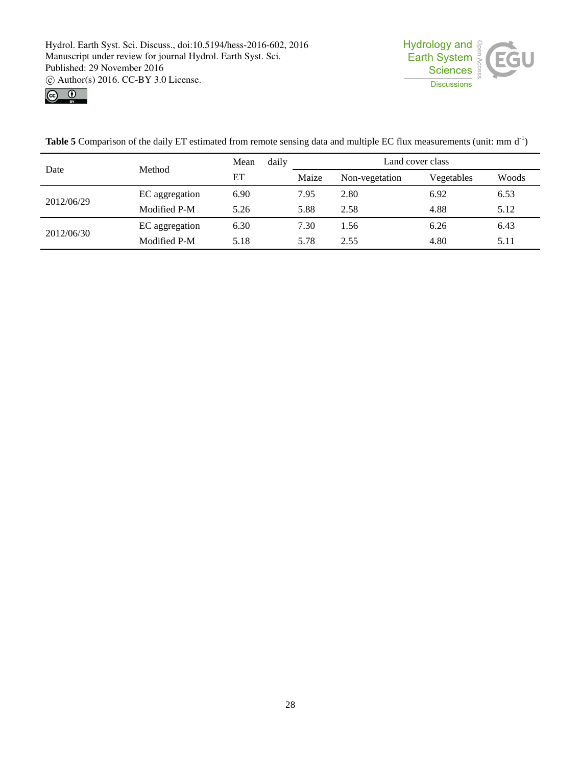



Date Method Mean daily ET Land cover class Maize Non-vegetation Vegetables Woods 2012/06/29 EC aggregation 6.90 7.95 2.80 6.92 6.53 Modified P-M 5.26 5.88 2.58 4.88 5.12 2012/06/30 EC aggregation 6.30 7.30 1.56 6.26 6.43 Modified P-M 5.18 5.78 2.55 4.80 5.11

**Table 5** Comparison of the daily ET estimated from remote sensing data and multiple EC flux measurements (unit: mm  $d^{-1}$ )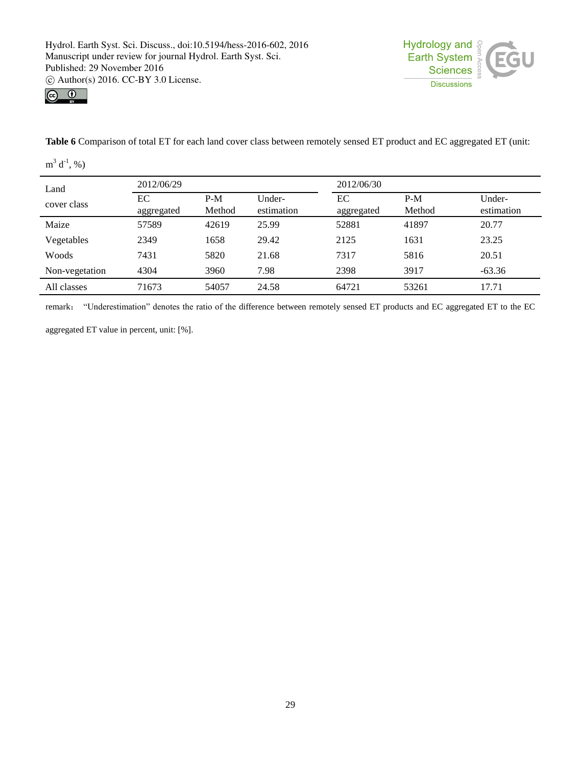



**Table 6** Comparison of total ET for each land cover class between remotely sensed ET product and EC aggregated ET (unit:

 $m^3 d^{-1}$ , %)

| Land           | 2012/06/29       |                 |                      | 2012/06/30       |                 |                      |
|----------------|------------------|-----------------|----------------------|------------------|-----------------|----------------------|
| cover class    | EС<br>aggregated | $P-M$<br>Method | Under-<br>estimation | EС<br>aggregated | $P-M$<br>Method | Under-<br>estimation |
| Maize          | 57589            | 42619           | 25.99                | 52881            | 41897           | 20.77                |
| Vegetables     | 2349             | 1658            | 29.42                | 2125             | 1631            | 23.25                |
| Woods          | 7431             | 5820            | 21.68                | 7317             | 5816            | 20.51                |
| Non-vegetation | 4304             | 3960            | 7.98                 | 2398             | 3917            | $-63.36$             |
| All classes    | 71673            | 54057           | 24.58                | 64721            | 53261           | 17.71                |

remark: "Underestimation" denotes the ratio of the difference between remotely sensed ET products and EC aggregated ET to the EC

aggregated ET value in percent, unit: [%].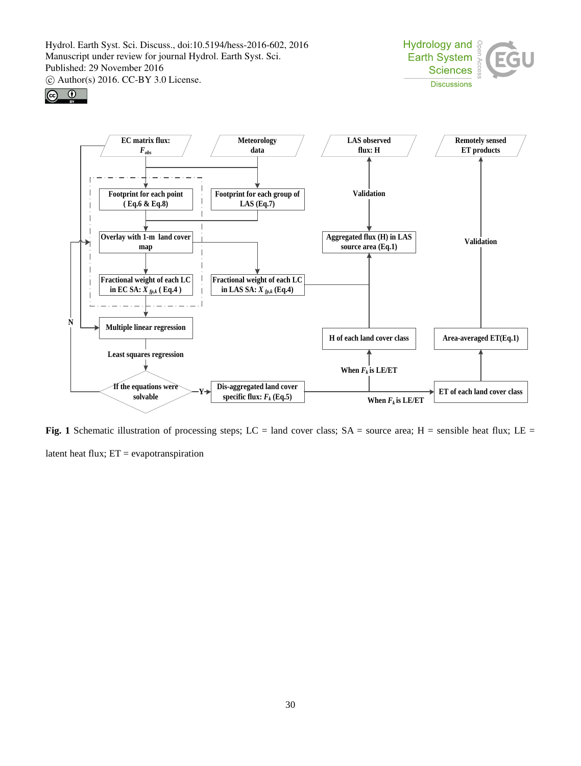





**Fig. 1** Schematic illustration of processing steps; LC = land cover class; SA = source area; H = sensible heat flux; LE = latent heat flux; ET = evapotranspiration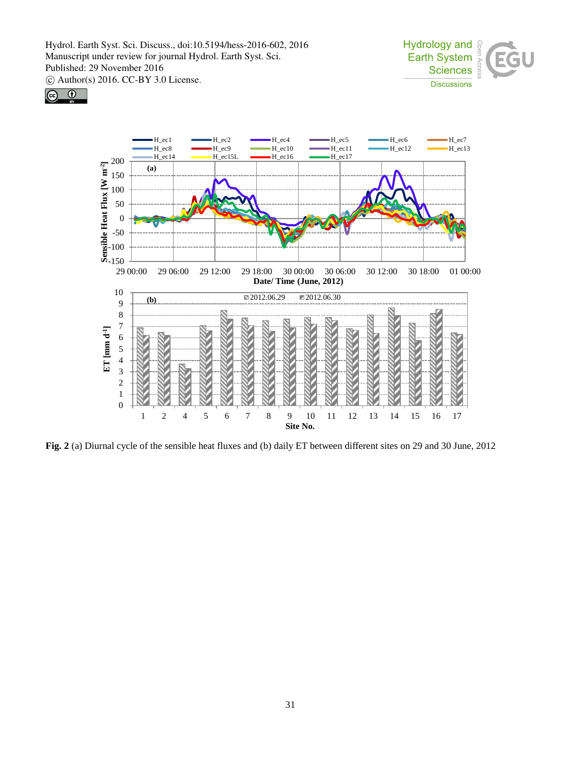





**Fig. 2** (a) Diurnal cycle of the sensible heat fluxes and (b) daily ET between different sites on 29 and 30 June, 2012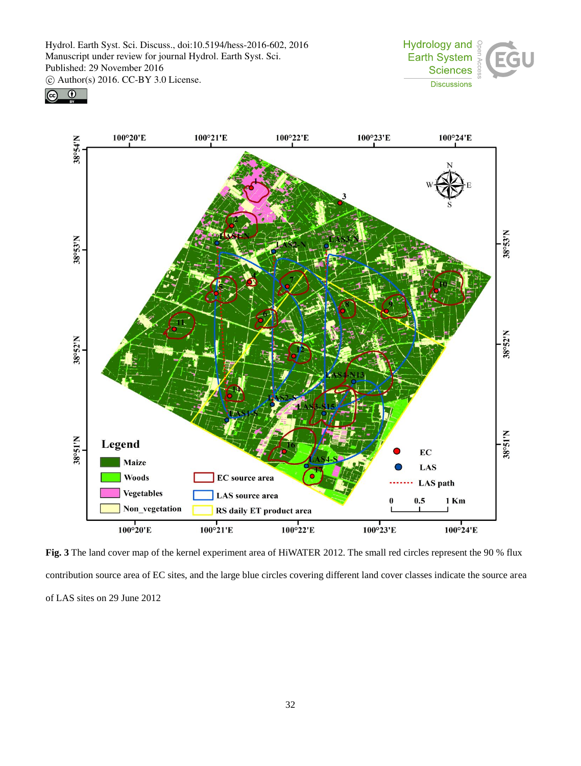





**Fig. 3** The land cover map of the kernel experiment area of HiWATER 2012. The small red circles represent the 90 % flux contribution source area of EC sites, and the large blue circles covering different land cover classes indicate the source area of LAS sites on 29 June 2012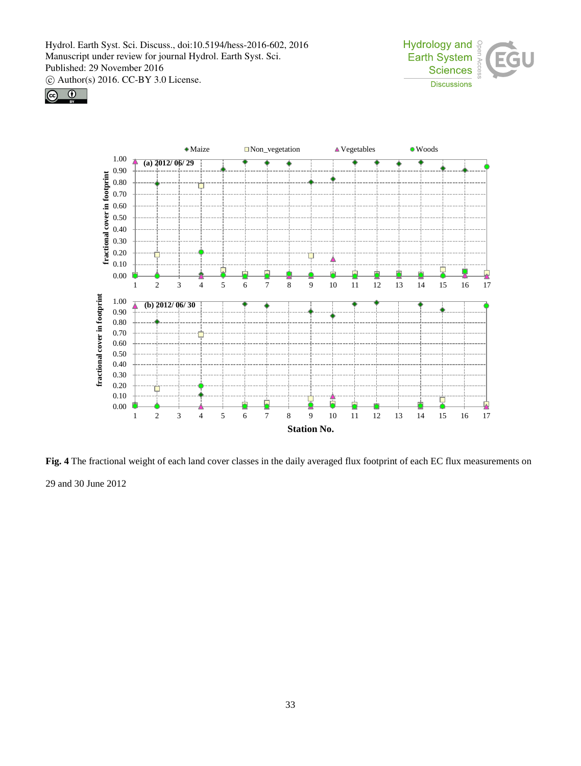





**Fig. 4** The fractional weight of each land cover classes in the daily averaged flux footprint of each EC flux measurements on 29 and 30 June 2012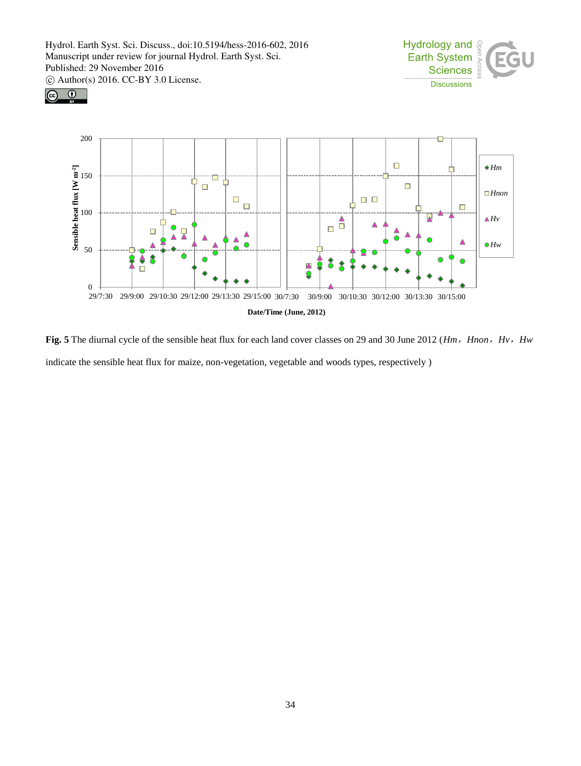





Fig. 5 The diurnal cycle of the sensible heat flux for each land cover classes on 29 and 30 June 2012 (*Hm, Hnon, Hv, Hw* indicate the sensible heat flux for maize, non-vegetation, vegetable and woods types, respectively )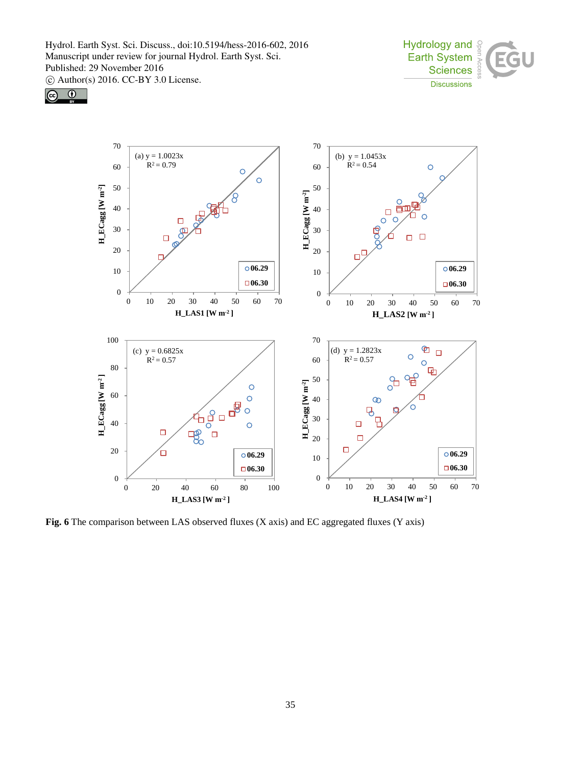





**Fig. 6** The comparison between LAS observed fluxes (X axis) and EC aggregated fluxes (Y axis)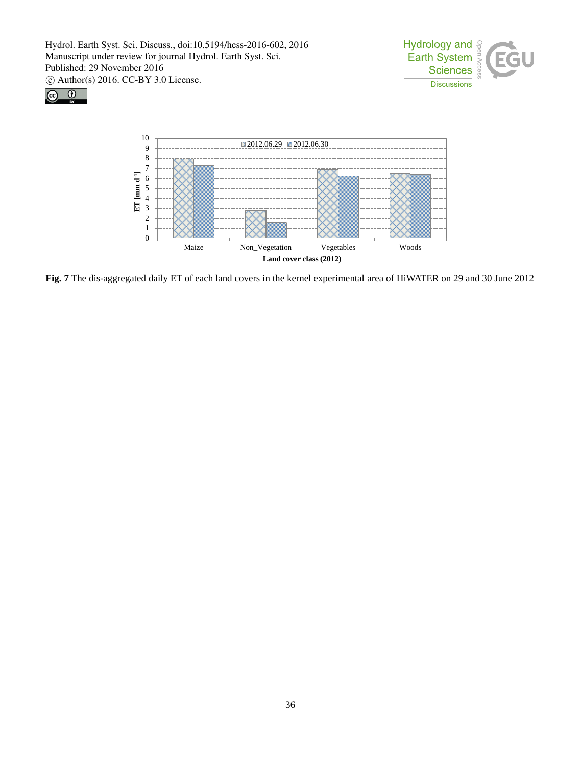





**Fig. 7** The dis-aggregated daily ET of each land covers in the kernel experimental area of HiWATER on 29 and 30 June 2012